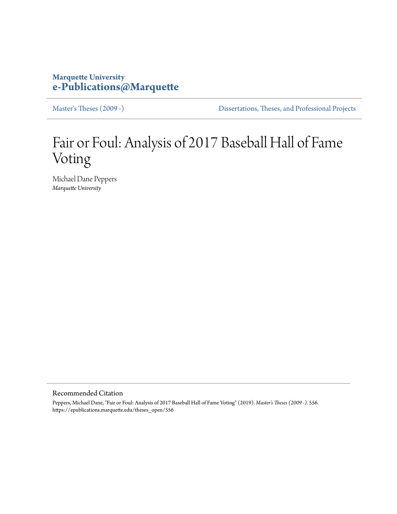# **Marquette University [e-Publications@Marquette](https://epublications.marquette.edu)**

[Master's Theses \(2009 -\)](https://epublications.marquette.edu/theses_open) [Dissertations, Theses, and Professional Projects](https://epublications.marquette.edu/diss_theses)

# Fair or Foul: Analysis of 2017 Baseball Hall of Fame Voting

Michael Dane Peppers *Marquette University*

Recommended Citation

Peppers, Michael Dane, "Fair or Foul: Analysis of 2017 Baseball Hall of Fame Voting" (2019). *Master's Theses (2009 -)*. 556. https://epublications.marquette.edu/theses\_open/556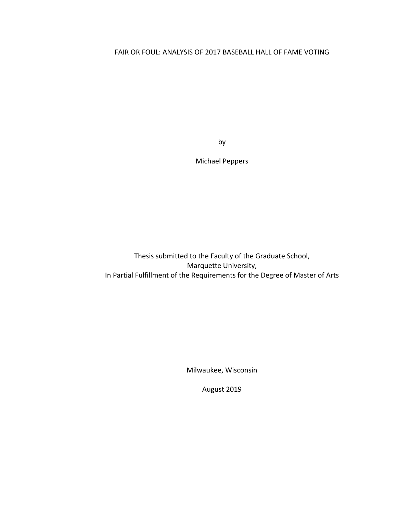# FAIR OR FOUL: ANALYSIS OF 2017 BASEBALL HALL OF FAME VOTING

by

Michael Peppers

Thesis submitted to the Faculty of the Graduate School, Marquette University, In Partial Fulfillment of the Requirements for the Degree of Master of Arts

Milwaukee, Wisconsin

August 2019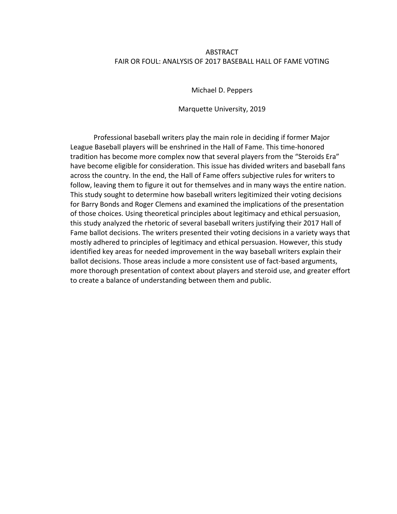# ABSTRACT FAIR OR FOUL: ANALYSIS OF 2017 BASEBALL HALL OF FAME VOTING

Michael D. Peppers

Marquette University, 2019

Professional baseball writers play the main role in deciding if former Major League Baseball players will be enshrined in the Hall of Fame. This time-honored tradition has become more complex now that several players from the "Steroids Era" have become eligible for consideration. This issue has divided writers and baseball fans across the country. In the end, the Hall of Fame offers subjective rules for writers to follow, leaving them to figure it out for themselves and in many ways the entire nation. This study sought to determine how baseball writers legitimized their voting decisions for Barry Bonds and Roger Clemens and examined the implications of the presentation of those choices. Using theoretical principles about legitimacy and ethical persuasion, this study analyzed the rhetoric of several baseball writers justifying their 2017 Hall of Fame ballot decisions. The writers presented their voting decisions in a variety ways that mostly adhered to principles of legitimacy and ethical persuasion. However, this study identified key areas for needed improvement in the way baseball writers explain their ballot decisions. Those areas include a more consistent use of fact-based arguments, more thorough presentation of context about players and steroid use, and greater effort to create a balance of understanding between them and public.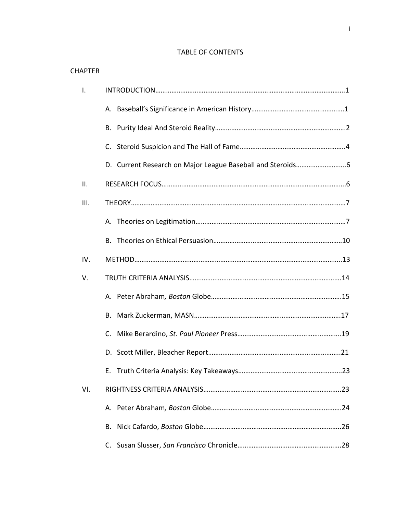# TABLE OF CONTENTS

| <b>CHAPTER</b> |    |
|----------------|----|
| Ι.             |    |
|                |    |
|                |    |
|                |    |
|                |    |
| ΙΙ.            |    |
| III.           |    |
|                |    |
|                |    |
| IV.            |    |
| V.             |    |
|                |    |
|                |    |
|                |    |
|                |    |
|                |    |
| VI.            |    |
|                |    |
|                | В. |
|                |    |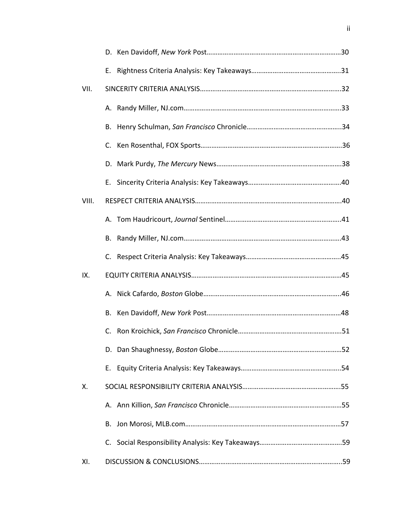| VII.  |  |
|-------|--|
|       |  |
|       |  |
|       |  |
|       |  |
|       |  |
| VIII. |  |
|       |  |
|       |  |
|       |  |
| IX.   |  |
|       |  |
|       |  |
|       |  |
|       |  |
|       |  |
| Χ.    |  |
|       |  |
|       |  |
|       |  |
| XI.   |  |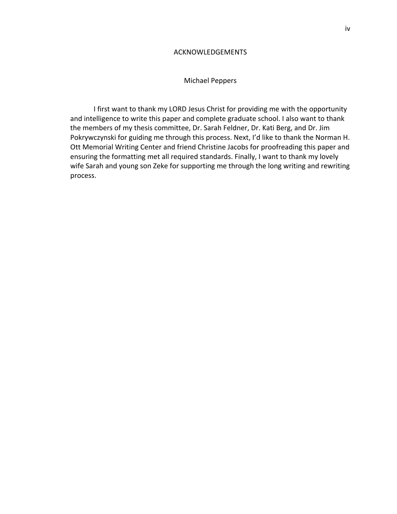# ACKNOWLEDGEMENTS

# Michael Peppers

I first want to thank my LORD Jesus Christ for providing me with the opportunity and intelligence to write this paper and complete graduate school. I also want to thank the members of my thesis committee, Dr. Sarah Feldner, Dr. Kati Berg, and Dr. Jim Pokrywczynski for guiding me through this process. Next, I'd like to thank the Norman H. Ott Memorial Writing Center and friend Christine Jacobs for proofreading this paper and ensuring the formatting met all required standards. Finally, I want to thank my lovely wife Sarah and young son Zeke for supporting me through the long writing and rewriting process.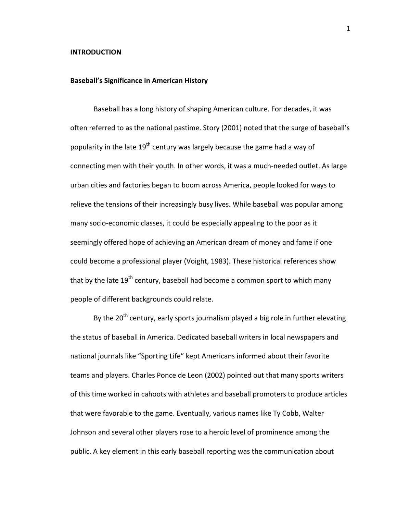#### **INTRODUCTION**

#### **Baseball's Significance in American History**

Baseball has a long history of shaping American culture. For decades, it was often referred to as the national pastime. Story (2001) noted that the surge of baseball's popularity in the late  $19^{th}$  century was largely because the game had a way of connecting men with their youth. In other words, it was a much-needed outlet. As large urban cities and factories began to boom across America, people looked for ways to relieve the tensions of their increasingly busy lives. While baseball was popular among many socio-economic classes, it could be especially appealing to the poor as it seemingly offered hope of achieving an American dream of money and fame if one could become a professional player (Voight, 1983). These historical references show that by the late  $19^{th}$  century, baseball had become a common sport to which many people of different backgrounds could relate.

By the  $20^{th}$  century, early sports journalism played a big role in further elevating the status of baseball in America. Dedicated baseball writers in local newspapers and national journals like "Sporting Life" kept Americans informed about their favorite teams and players. Charles Ponce de Leon (2002) pointed out that many sports writers of this time worked in cahoots with athletes and baseball promoters to produce articles that were favorable to the game. Eventually, various names like Ty Cobb, Walter Johnson and several other players rose to a heroic level of prominence among the public. A key element in this early baseball reporting was the communication about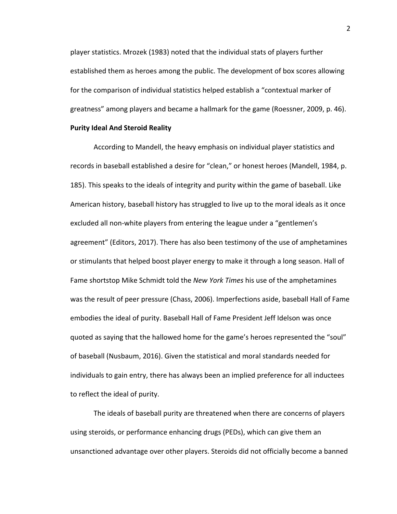player statistics. Mrozek (1983) noted that the individual stats of players further established them as heroes among the public. The development of box scores allowing for the comparison of individual statistics helped establish a "contextual marker of greatness" among players and became a hallmark for the game (Roessner, 2009, p. 46).

# **Purity Ideal And Steroid Reality**

According to Mandell, the heavy emphasis on individual player statistics and records in baseball established a desire for "clean," or honest heroes (Mandell, 1984, p. 185). This speaks to the ideals of integrity and purity within the game of baseball. Like American history, baseball history has struggled to live up to the moral ideals as it once excluded all non-white players from entering the league under a "gentlemen's agreement" (Editors, 2017). There has also been testimony of the use of amphetamines or stimulants that helped boost player energy to make it through a long season. Hall of Fame shortstop Mike Schmidt told the *New York Times* his use of the amphetamines was the result of peer pressure (Chass, 2006). Imperfections aside, baseball Hall of Fame embodies the ideal of purity. Baseball Hall of Fame President Jeff Idelson was once quoted as saying that the hallowed home for the game's heroes represented the "soul" of baseball (Nusbaum, 2016). Given the statistical and moral standards needed for individuals to gain entry, there has always been an implied preference for all inductees to reflect the ideal of purity.

The ideals of baseball purity are threatened when there are concerns of players using steroids, or performance enhancing drugs (PEDs), which can give them an unsanctioned advantage over other players. Steroids did not officially become a banned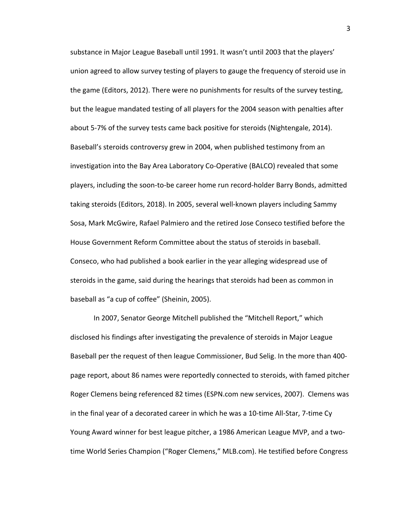substance in Major League Baseball until 1991. It wasn't until 2003 that the players' union agreed to allow survey testing of players to gauge the frequency of steroid use in the game (Editors, 2012). There were no punishments for results of the survey testing, but the league mandated testing of all players for the 2004 season with penalties after about 5-7% of the survey tests came back positive for steroids (Nightengale, 2014). Baseball's steroids controversy grew in 2004, when published testimony from an investigation into the Bay Area Laboratory Co-Operative (BALCO) revealed that some players, including the soon-to-be career home run record-holder Barry Bonds, admitted taking steroids (Editors, 2018). In 2005, several well-known players including Sammy Sosa, Mark McGwire, Rafael Palmiero and the retired Jose Conseco testified before the House Government Reform Committee about the status of steroids in baseball. Conseco, who had published a book earlier in the year alleging widespread use of steroids in the game, said during the hearings that steroids had been as common in baseball as "a cup of coffee" (Sheinin, 2005).

In 2007, Senator George Mitchell published the "Mitchell Report," which disclosed his findings after investigating the prevalence of steroids in Major League Baseball per the request of then league Commissioner, Bud Selig. In the more than 400page report, about 86 names were reportedly connected to steroids, with famed pitcher Roger Clemens being referenced 82 times (ESPN.com new services, 2007). Clemens was in the final year of a decorated career in which he was a 10-time All-Star, 7-time Cy Young Award winner for best league pitcher, a 1986 American League MVP, and a twotime World Series Champion ("Roger Clemens," MLB.com). He testified before Congress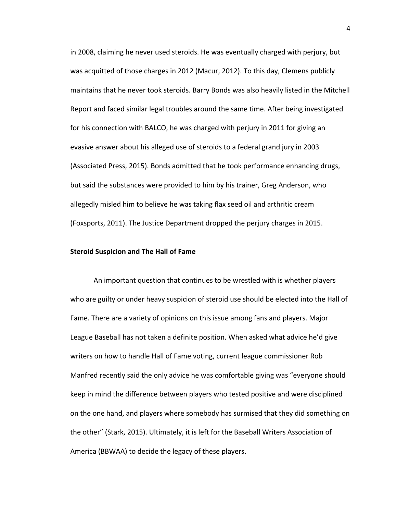in 2008, claiming he never used steroids. He was eventually charged with perjury, but was acquitted of those charges in 2012 (Macur, 2012). To this day, Clemens publicly maintains that he never took steroids. Barry Bonds was also heavily listed in the Mitchell Report and faced similar legal troubles around the same time. After being investigated for his connection with BALCO, he was charged with perjury in 2011 for giving an evasive answer about his alleged use of steroids to a federal grand jury in 2003 (Associated Press, 2015). Bonds admitted that he took performance enhancing drugs, but said the substances were provided to him by his trainer, Greg Anderson, who allegedly misled him to believe he was taking flax seed oil and arthritic cream (Foxsports, 2011). The Justice Department dropped the perjury charges in 2015.

#### **Steroid Suspicion and The Hall of Fame**

An important question that continues to be wrestled with is whether players who are guilty or under heavy suspicion of steroid use should be elected into the Hall of Fame. There are a variety of opinions on this issue among fans and players. Major League Baseball has not taken a definite position. When asked what advice he'd give writers on how to handle Hall of Fame voting, current league commissioner Rob Manfred recently said the only advice he was comfortable giving was "everyone should keep in mind the difference between players who tested positive and were disciplined on the one hand, and players where somebody has surmised that they did something on the other" (Stark, 2015). Ultimately, it is left for the Baseball Writers Association of America (BBWAA) to decide the legacy of these players.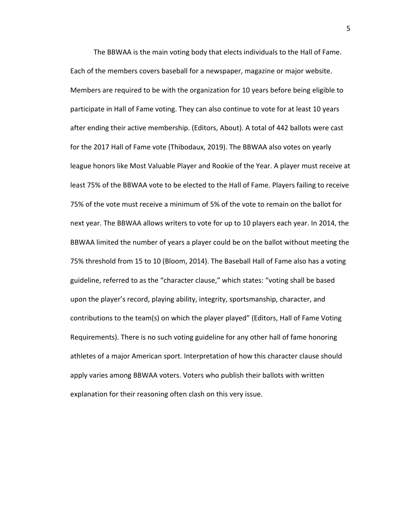The BBWAA is the main voting body that elects individuals to the Hall of Fame. Each of the members covers baseball for a newspaper, magazine or major website. Members are required to be with the organization for 10 years before being eligible to participate in Hall of Fame voting. They can also continue to vote for at least 10 years after ending their active membership. (Editors, About). A total of 442 ballots were cast for the 2017 Hall of Fame vote (Thibodaux, 2019). The BBWAA also votes on yearly league honors like Most Valuable Player and Rookie of the Year. A player must receive at least 75% of the BBWAA vote to be elected to the Hall of Fame. Players failing to receive 75% of the vote must receive a minimum of 5% of the vote to remain on the ballot for next year. The BBWAA allows writers to vote for up to 10 players each year. In 2014, the BBWAA limited the number of years a player could be on the ballot without meeting the 75% threshold from 15 to 10 (Bloom, 2014). The Baseball Hall of Fame also has a voting guideline, referred to as the "character clause," which states: "voting shall be based upon the player's record, playing ability, integrity, sportsmanship, character, and contributions to the team(s) on which the player played" (Editors, Hall of Fame Voting Requirements). There is no such voting guideline for any other hall of fame honoring athletes of a major American sport. Interpretation of how this character clause should apply varies among BBWAA voters. Voters who publish their ballots with written explanation for their reasoning often clash on this very issue.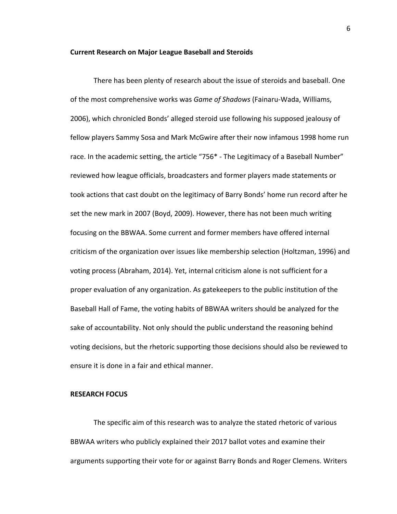# **Current Research on Major League Baseball and Steroids**

There has been plenty of research about the issue of steroids and baseball. One of the most comprehensive works was *Game of Shadows* (Fainaru-Wada, Williams, 2006), which chronicled Bonds' alleged steroid use following his supposed jealousy of fellow players Sammy Sosa and Mark McGwire after their now infamous 1998 home run race. In the academic setting, the article "756\* - The Legitimacy of a Baseball Number" reviewed how league officials, broadcasters and former players made statements or took actions that cast doubt on the legitimacy of Barry Bonds' home run record after he set the new mark in 2007 (Boyd, 2009). However, there has not been much writing focusing on the BBWAA. Some current and former members have offered internal criticism of the organization over issues like membership selection (Holtzman, 1996) and voting process (Abraham, 2014). Yet, internal criticism alone is not sufficient for a proper evaluation of any organization. As gatekeepers to the public institution of the Baseball Hall of Fame, the voting habits of BBWAA writers should be analyzed for the sake of accountability. Not only should the public understand the reasoning behind voting decisions, but the rhetoric supporting those decisions should also be reviewed to ensure it is done in a fair and ethical manner.

# **RESEARCH FOCUS**

The specific aim of this research was to analyze the stated rhetoric of various BBWAA writers who publicly explained their 2017 ballot votes and examine their arguments supporting their vote for or against Barry Bonds and Roger Clemens. Writers

6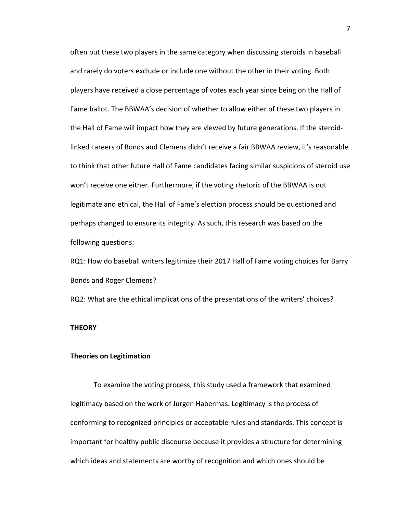often put these two players in the same category when discussing steroids in baseball and rarely do voters exclude or include one without the other in their voting. Both players have received a close percentage of votes each year since being on the Hall of Fame ballot. The BBWAA's decision of whether to allow either of these two players in the Hall of Fame will impact how they are viewed by future generations. If the steroidlinked careers of Bonds and Clemens didn't receive a fair BBWAA review, it's reasonable to think that other future Hall of Fame candidates facing similar suspicions of steroid use won't receive one either. Furthermore, if the voting rhetoric of the BBWAA is not legitimate and ethical, the Hall of Fame's election process should be questioned and perhaps changed to ensure its integrity. As such, this research was based on the following questions:

RQ1: How do baseball writers legitimize their 2017 Hall of Fame voting choices for Barry Bonds and Roger Clemens?

RQ2: What are the ethical implications of the presentations of the writers' choices?

#### **THEORY**

#### **Theories on Legitimation**

To examine the voting process, this study used a framework that examined legitimacy based on the work of Jurgen Habermas. Legitimacy is the process of conforming to recognized principles or acceptable rules and standards. This concept is important for healthy public discourse because it provides a structure for determining which ideas and statements are worthy of recognition and which ones should be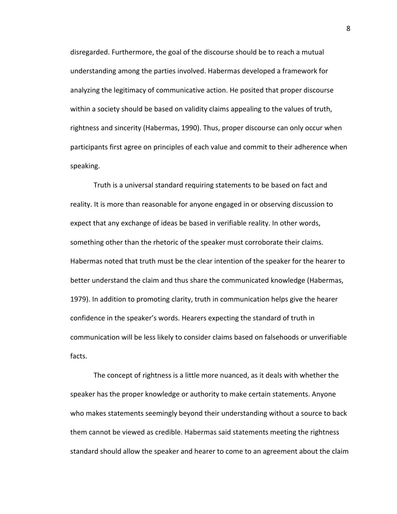disregarded. Furthermore, the goal of the discourse should be to reach a mutual understanding among the parties involved. Habermas developed a framework for analyzing the legitimacy of communicative action. He posited that proper discourse within a society should be based on validity claims appealing to the values of truth, rightness and sincerity (Habermas, 1990). Thus, proper discourse can only occur when participants first agree on principles of each value and commit to their adherence when speaking.

Truth is a universal standard requiring statements to be based on fact and reality. It is more than reasonable for anyone engaged in or observing discussion to expect that any exchange of ideas be based in verifiable reality. In other words, something other than the rhetoric of the speaker must corroborate their claims. Habermas noted that truth must be the clear intention of the speaker for the hearer to better understand the claim and thus share the communicated knowledge (Habermas, 1979). In addition to promoting clarity, truth in communication helps give the hearer confidence in the speaker's words. Hearers expecting the standard of truth in communication will be less likely to consider claims based on falsehoods or unverifiable facts. 

The concept of rightness is a little more nuanced, as it deals with whether the speaker has the proper knowledge or authority to make certain statements. Anyone who makes statements seemingly beyond their understanding without a source to back them cannot be viewed as credible. Habermas said statements meeting the rightness standard should allow the speaker and hearer to come to an agreement about the claim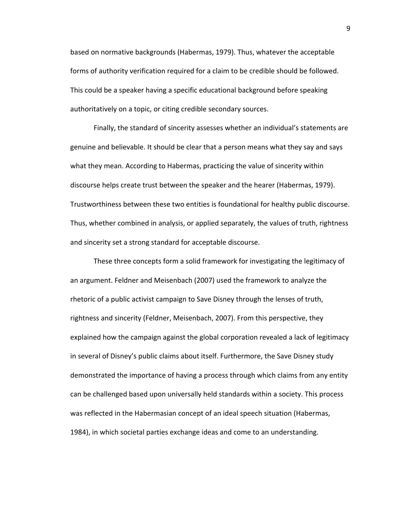based on normative backgrounds (Habermas, 1979). Thus, whatever the acceptable forms of authority verification required for a claim to be credible should be followed. This could be a speaker having a specific educational background before speaking authoritatively on a topic, or citing credible secondary sources.

Finally, the standard of sincerity assesses whether an individual's statements are genuine and believable. It should be clear that a person means what they say and says what they mean. According to Habermas, practicing the value of sincerity within discourse helps create trust between the speaker and the hearer (Habermas, 1979). Trustworthiness between these two entities is foundational for healthy public discourse. Thus, whether combined in analysis, or applied separately, the values of truth, rightness and sincerity set a strong standard for acceptable discourse.

These three concepts form a solid framework for investigating the legitimacy of an argument. Feldner and Meisenbach (2007) used the framework to analyze the rhetoric of a public activist campaign to Save Disney through the lenses of truth, rightness and sincerity (Feldner, Meisenbach, 2007). From this perspective, they explained how the campaign against the global corporation revealed a lack of legitimacy in several of Disney's public claims about itself. Furthermore, the Save Disney study demonstrated the importance of having a process through which claims from any entity can be challenged based upon universally held standards within a society. This process was reflected in the Habermasian concept of an ideal speech situation (Habermas, 1984), in which societal parties exchange ideas and come to an understanding.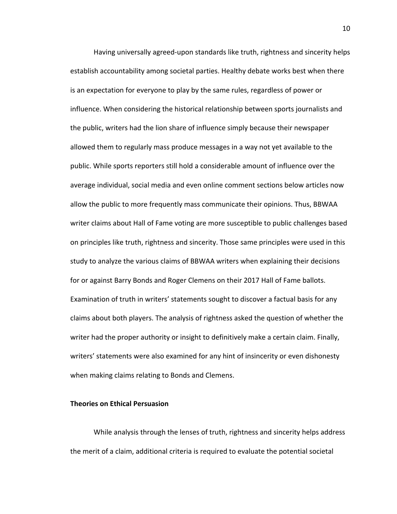Having universally agreed-upon standards like truth, rightness and sincerity helps establish accountability among societal parties. Healthy debate works best when there is an expectation for everyone to play by the same rules, regardless of power or influence. When considering the historical relationship between sports journalists and the public, writers had the lion share of influence simply because their newspaper allowed them to regularly mass produce messages in a way not yet available to the public. While sports reporters still hold a considerable amount of influence over the average individual, social media and even online comment sections below articles now allow the public to more frequently mass communicate their opinions. Thus, BBWAA writer claims about Hall of Fame voting are more susceptible to public challenges based on principles like truth, rightness and sincerity. Those same principles were used in this study to analyze the various claims of BBWAA writers when explaining their decisions for or against Barry Bonds and Roger Clemens on their 2017 Hall of Fame ballots. Examination of truth in writers' statements sought to discover a factual basis for any claims about both players. The analysis of rightness asked the question of whether the writer had the proper authority or insight to definitively make a certain claim. Finally, writers' statements were also examined for any hint of insincerity or even dishonesty when making claims relating to Bonds and Clemens.

# **Theories on Ethical Persuasion**

While analysis through the lenses of truth, rightness and sincerity helps address the merit of a claim, additional criteria is required to evaluate the potential societal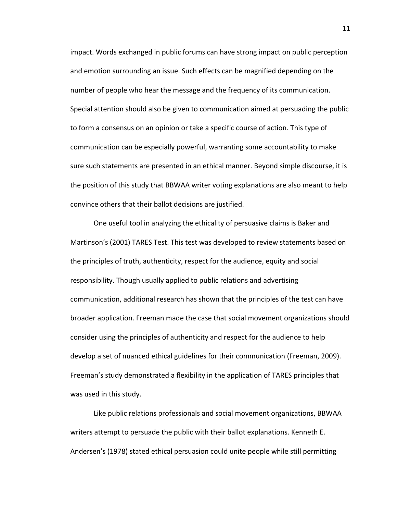impact. Words exchanged in public forums can have strong impact on public perception and emotion surrounding an issue. Such effects can be magnified depending on the number of people who hear the message and the frequency of its communication. Special attention should also be given to communication aimed at persuading the public to form a consensus on an opinion or take a specific course of action. This type of communication can be especially powerful, warranting some accountability to make sure such statements are presented in an ethical manner. Beyond simple discourse, it is the position of this study that BBWAA writer voting explanations are also meant to help convince others that their ballot decisions are justified.

One useful tool in analyzing the ethicality of persuasive claims is Baker and Martinson's (2001) TARES Test. This test was developed to review statements based on the principles of truth, authenticity, respect for the audience, equity and social responsibility. Though usually applied to public relations and advertising communication, additional research has shown that the principles of the test can have broader application. Freeman made the case that social movement organizations should consider using the principles of authenticity and respect for the audience to help develop a set of nuanced ethical guidelines for their communication (Freeman, 2009). Freeman's study demonstrated a flexibility in the application of TARES principles that was used in this study.

Like public relations professionals and social movement organizations, BBWAA writers attempt to persuade the public with their ballot explanations. Kenneth E. Andersen's (1978) stated ethical persuasion could unite people while still permitting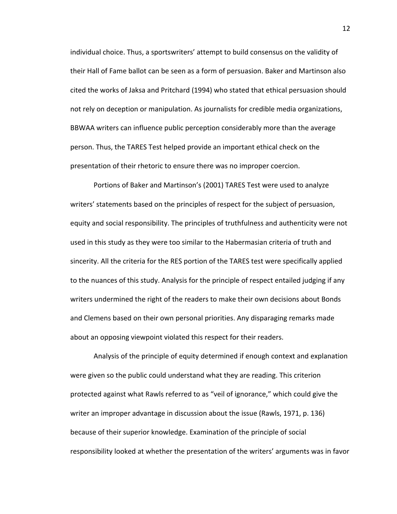individual choice. Thus, a sportswriters' attempt to build consensus on the validity of their Hall of Fame ballot can be seen as a form of persuasion. Baker and Martinson also cited the works of Jaksa and Pritchard (1994) who stated that ethical persuasion should not rely on deception or manipulation. As journalists for credible media organizations, BBWAA writers can influence public perception considerably more than the average person. Thus, the TARES Test helped provide an important ethical check on the presentation of their rhetoric to ensure there was no improper coercion.

Portions of Baker and Martinson's (2001) TARES Test were used to analyze writers' statements based on the principles of respect for the subject of persuasion, equity and social responsibility. The principles of truthfulness and authenticity were not used in this study as they were too similar to the Habermasian criteria of truth and sincerity. All the criteria for the RES portion of the TARES test were specifically applied to the nuances of this study. Analysis for the principle of respect entailed judging if any writers undermined the right of the readers to make their own decisions about Bonds and Clemens based on their own personal priorities. Any disparaging remarks made about an opposing viewpoint violated this respect for their readers.

Analysis of the principle of equity determined if enough context and explanation were given so the public could understand what they are reading. This criterion protected against what Rawls referred to as "veil of ignorance," which could give the writer an improper advantage in discussion about the issue (Rawls, 1971, p. 136) because of their superior knowledge. Examination of the principle of social responsibility looked at whether the presentation of the writers' arguments was in favor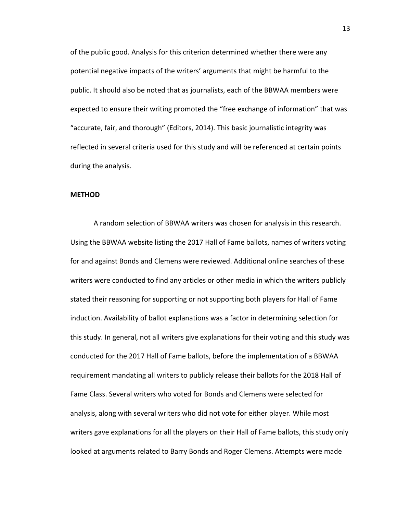of the public good. Analysis for this criterion determined whether there were any potential negative impacts of the writers' arguments that might be harmful to the public. It should also be noted that as journalists, each of the BBWAA members were expected to ensure their writing promoted the "free exchange of information" that was "accurate, fair, and thorough" (Editors, 2014). This basic journalistic integrity was reflected in several criteria used for this study and will be referenced at certain points during the analysis.

#### **METHOD**

A random selection of BBWAA writers was chosen for analysis in this research. Using the BBWAA website listing the 2017 Hall of Fame ballots, names of writers voting for and against Bonds and Clemens were reviewed. Additional online searches of these writers were conducted to find any articles or other media in which the writers publicly stated their reasoning for supporting or not supporting both players for Hall of Fame induction. Availability of ballot explanations was a factor in determining selection for this study. In general, not all writers give explanations for their voting and this study was conducted for the 2017 Hall of Fame ballots, before the implementation of a BBWAA requirement mandating all writers to publicly release their ballots for the 2018 Hall of Fame Class. Several writers who voted for Bonds and Clemens were selected for analysis, along with several writers who did not vote for either player. While most writers gave explanations for all the players on their Hall of Fame ballots, this study only looked at arguments related to Barry Bonds and Roger Clemens. Attempts were made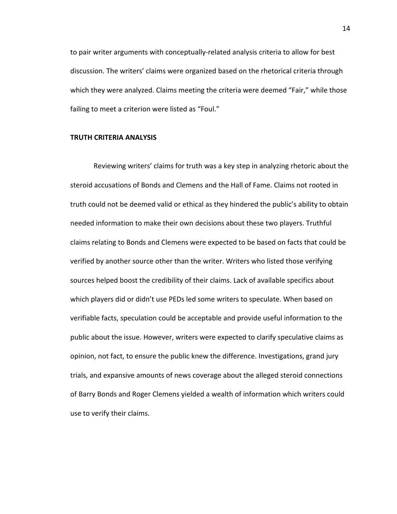to pair writer arguments with conceptually-related analysis criteria to allow for best discussion. The writers' claims were organized based on the rhetorical criteria through which they were analyzed. Claims meeting the criteria were deemed "Fair," while those failing to meet a criterion were listed as "Foul."

# **TRUTH CRITERIA ANALYSIS**

Reviewing writers' claims for truth was a key step in analyzing rhetoric about the steroid accusations of Bonds and Clemens and the Hall of Fame. Claims not rooted in truth could not be deemed valid or ethical as they hindered the public's ability to obtain needed information to make their own decisions about these two players. Truthful claims relating to Bonds and Clemens were expected to be based on facts that could be verified by another source other than the writer. Writers who listed those verifying sources helped boost the credibility of their claims. Lack of available specifics about which players did or didn't use PEDs led some writers to speculate. When based on verifiable facts, speculation could be acceptable and provide useful information to the public about the issue. However, writers were expected to clarify speculative claims as opinion, not fact, to ensure the public knew the difference. Investigations, grand jury trials, and expansive amounts of news coverage about the alleged steroid connections of Barry Bonds and Roger Clemens yielded a wealth of information which writers could use to verify their claims.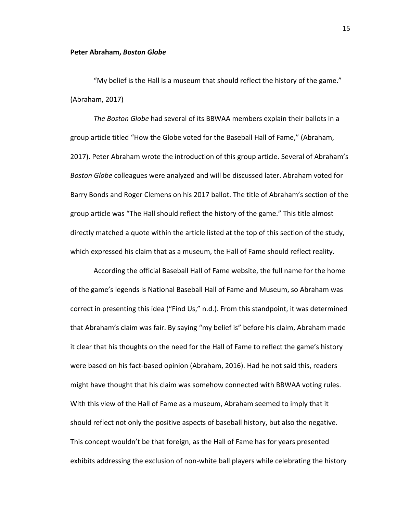#### **Peter Abraham, Boston Globe**

"My belief is the Hall is a museum that should reflect the history of the game." (Abraham, 2017)

The Boston Globe had several of its BBWAA members explain their ballots in a group article titled "How the Globe voted for the Baseball Hall of Fame," (Abraham, 2017). Peter Abraham wrote the introduction of this group article. Several of Abraham's *Boston Globe* colleagues were analyzed and will be discussed later. Abraham voted for Barry Bonds and Roger Clemens on his 2017 ballot. The title of Abraham's section of the group article was "The Hall should reflect the history of the game." This title almost directly matched a quote within the article listed at the top of this section of the study, which expressed his claim that as a museum, the Hall of Fame should reflect reality.

According the official Baseball Hall of Fame website, the full name for the home of the game's legends is National Baseball Hall of Fame and Museum, so Abraham was correct in presenting this idea ("Find Us," n.d.). From this standpoint, it was determined that Abraham's claim was fair. By saying "my belief is" before his claim, Abraham made it clear that his thoughts on the need for the Hall of Fame to reflect the game's history were based on his fact-based opinion (Abraham, 2016). Had he not said this, readers might have thought that his claim was somehow connected with BBWAA voting rules. With this view of the Hall of Fame as a museum, Abraham seemed to imply that it should reflect not only the positive aspects of baseball history, but also the negative. This concept wouldn't be that foreign, as the Hall of Fame has for years presented exhibits addressing the exclusion of non-white ball players while celebrating the history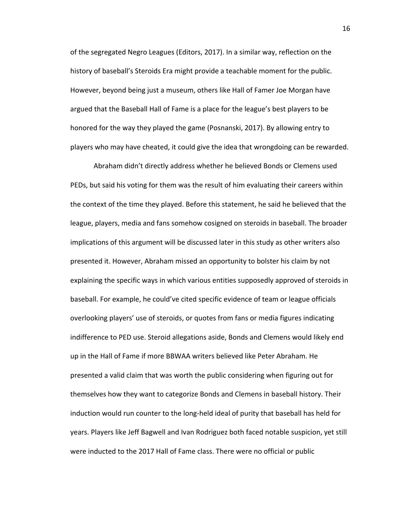of the segregated Negro Leagues (Editors, 2017). In a similar way, reflection on the history of baseball's Steroids Era might provide a teachable moment for the public. However, beyond being just a museum, others like Hall of Famer Joe Morgan have argued that the Baseball Hall of Fame is a place for the league's best players to be honored for the way they played the game (Posnanski, 2017). By allowing entry to players who may have cheated, it could give the idea that wrongdoing can be rewarded.

Abraham didn't directly address whether he believed Bonds or Clemens used PEDs, but said his voting for them was the result of him evaluating their careers within the context of the time they played. Before this statement, he said he believed that the league, players, media and fans somehow cosigned on steroids in baseball. The broader implications of this argument will be discussed later in this study as other writers also presented it. However, Abraham missed an opportunity to bolster his claim by not explaining the specific ways in which various entities supposedly approved of steroids in baseball. For example, he could've cited specific evidence of team or league officials overlooking players' use of steroids, or quotes from fans or media figures indicating indifference to PED use. Steroid allegations aside, Bonds and Clemens would likely end up in the Hall of Fame if more BBWAA writers believed like Peter Abraham. He presented a valid claim that was worth the public considering when figuring out for themselves how they want to categorize Bonds and Clemens in baseball history. Their induction would run counter to the long-held ideal of purity that baseball has held for years. Players like Jeff Bagwell and Ivan Rodriguez both faced notable suspicion, yet still were inducted to the 2017 Hall of Fame class. There were no official or public

16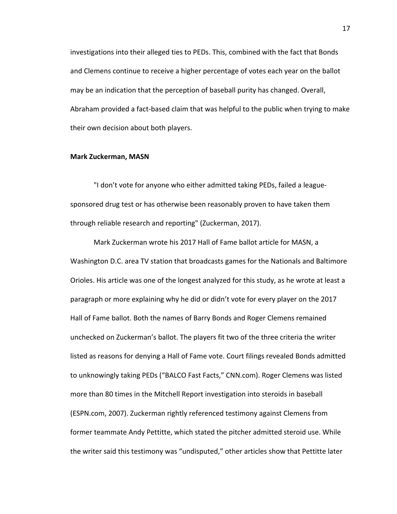investigations into their alleged ties to PEDs. This, combined with the fact that Bonds and Clemens continue to receive a higher percentage of votes each year on the ballot may be an indication that the perception of baseball purity has changed. Overall, Abraham provided a fact-based claim that was helpful to the public when trying to make their own decision about both players.

# **Mark Zuckerman, MASN**

"I don't vote for anyone who either admitted taking PEDs, failed a leaguesponsored drug test or has otherwise been reasonably proven to have taken them through reliable research and reporting" (Zuckerman, 2017).

Mark Zuckerman wrote his 2017 Hall of Fame ballot article for MASN, a Washington D.C. area TV station that broadcasts games for the Nationals and Baltimore Orioles. His article was one of the longest analyzed for this study, as he wrote at least a paragraph or more explaining why he did or didn't vote for every player on the 2017 Hall of Fame ballot. Both the names of Barry Bonds and Roger Clemens remained unchecked on Zuckerman's ballot. The players fit two of the three criteria the writer listed as reasons for denying a Hall of Fame vote. Court filings revealed Bonds admitted to unknowingly taking PEDs ("BALCO Fast Facts," CNN.com). Roger Clemens was listed more than 80 times in the Mitchell Report investigation into steroids in baseball (ESPN.com, 2007). Zuckerman rightly referenced testimony against Clemens from former teammate Andy Pettitte, which stated the pitcher admitted steroid use. While the writer said this testimony was "undisputed," other articles show that Pettitte later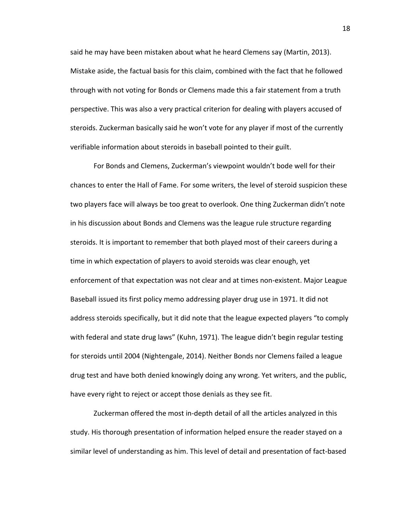said he may have been mistaken about what he heard Clemens say (Martin, 2013). Mistake aside, the factual basis for this claim, combined with the fact that he followed through with not voting for Bonds or Clemens made this a fair statement from a truth perspective. This was also a very practical criterion for dealing with players accused of steroids. Zuckerman basically said he won't vote for any player if most of the currently verifiable information about steroids in baseball pointed to their guilt.

For Bonds and Clemens, Zuckerman's viewpoint wouldn't bode well for their chances to enter the Hall of Fame. For some writers, the level of steroid suspicion these two players face will always be too great to overlook. One thing Zuckerman didn't note in his discussion about Bonds and Clemens was the league rule structure regarding steroids. It is important to remember that both played most of their careers during a time in which expectation of players to avoid steroids was clear enough, yet enforcement of that expectation was not clear and at times non-existent. Major League Baseball issued its first policy memo addressing player drug use in 1971. It did not address steroids specifically, but it did note that the league expected players "to comply with federal and state drug laws" (Kuhn, 1971). The league didn't begin regular testing for steroids until 2004 (Nightengale, 2014). Neither Bonds nor Clemens failed a league drug test and have both denied knowingly doing any wrong. Yet writers, and the public, have every right to reject or accept those denials as they see fit.

Zuckerman offered the most in-depth detail of all the articles analyzed in this study. His thorough presentation of information helped ensure the reader stayed on a similar level of understanding as him. This level of detail and presentation of fact-based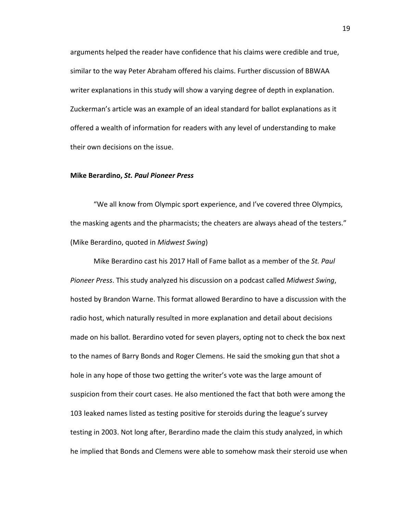arguments helped the reader have confidence that his claims were credible and true, similar to the way Peter Abraham offered his claims. Further discussion of BBWAA writer explanations in this study will show a varying degree of depth in explanation. Zuckerman's article was an example of an ideal standard for ballot explanations as it offered a wealth of information for readers with any level of understanding to make their own decisions on the issue.

# **Mike Berardino,** *St. Paul Pioneer Press*

"We all know from Olympic sport experience, and I've covered three Olympics, the masking agents and the pharmacists; the cheaters are always ahead of the testers." (Mike Berardino, quoted in *Midwest Swing*)

Mike Berardino cast his 2017 Hall of Fame ballot as a member of the *St. Paul Pioneer Press*. This study analyzed his discussion on a podcast called *Midwest Swing*, hosted by Brandon Warne. This format allowed Berardino to have a discussion with the radio host, which naturally resulted in more explanation and detail about decisions made on his ballot. Berardino voted for seven players, opting not to check the box next to the names of Barry Bonds and Roger Clemens. He said the smoking gun that shot a hole in any hope of those two getting the writer's vote was the large amount of suspicion from their court cases. He also mentioned the fact that both were among the 103 leaked names listed as testing positive for steroids during the league's survey testing in 2003. Not long after, Berardino made the claim this study analyzed, in which he implied that Bonds and Clemens were able to somehow mask their steroid use when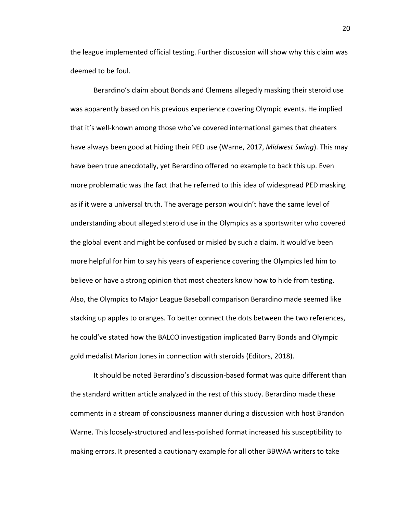the league implemented official testing. Further discussion will show why this claim was deemed to be foul.

Berardino's claim about Bonds and Clemens allegedly masking their steroid use was apparently based on his previous experience covering Olympic events. He implied that it's well-known among those who've covered international games that cheaters have always been good at hiding their PED use (Warne, 2017, *Midwest Swing*). This may have been true anecdotally, yet Berardino offered no example to back this up. Even more problematic was the fact that he referred to this idea of widespread PED masking as if it were a universal truth. The average person wouldn't have the same level of understanding about alleged steroid use in the Olympics as a sportswriter who covered the global event and might be confused or misled by such a claim. It would've been more helpful for him to say his years of experience covering the Olympics led him to believe or have a strong opinion that most cheaters know how to hide from testing. Also, the Olympics to Major League Baseball comparison Berardino made seemed like stacking up apples to oranges. To better connect the dots between the two references, he could've stated how the BALCO investigation implicated Barry Bonds and Olympic gold medalist Marion Jones in connection with steroids (Editors, 2018).

It should be noted Berardino's discussion-based format was quite different than the standard written article analyzed in the rest of this study. Berardino made these comments in a stream of consciousness manner during a discussion with host Brandon Warne. This loosely-structured and less-polished format increased his susceptibility to making errors. It presented a cautionary example for all other BBWAA writers to take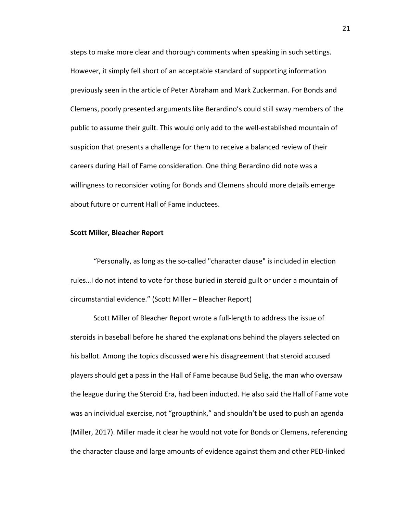steps to make more clear and thorough comments when speaking in such settings. However, it simply fell short of an acceptable standard of supporting information previously seen in the article of Peter Abraham and Mark Zuckerman. For Bonds and Clemens, poorly presented arguments like Berardino's could still sway members of the public to assume their guilt. This would only add to the well-established mountain of suspicion that presents a challenge for them to receive a balanced review of their careers during Hall of Fame consideration. One thing Berardino did note was a willingness to reconsider voting for Bonds and Clemens should more details emerge about future or current Hall of Fame inductees.

# **Scott Miller, Bleacher Report**

"Personally, as long as the so-called "character clause" is included in election rules...I do not intend to vote for those buried in steroid guilt or under a mountain of circumstantial evidence." (Scott Miller - Bleacher Report)

Scott Miller of Bleacher Report wrote a full-length to address the issue of steroids in baseball before he shared the explanations behind the players selected on his ballot. Among the topics discussed were his disagreement that steroid accused players should get a pass in the Hall of Fame because Bud Selig, the man who oversaw the league during the Steroid Era, had been inducted. He also said the Hall of Fame vote was an individual exercise, not "groupthink," and shouldn't be used to push an agenda (Miller, 2017). Miller made it clear he would not vote for Bonds or Clemens, referencing the character clause and large amounts of evidence against them and other PED-linked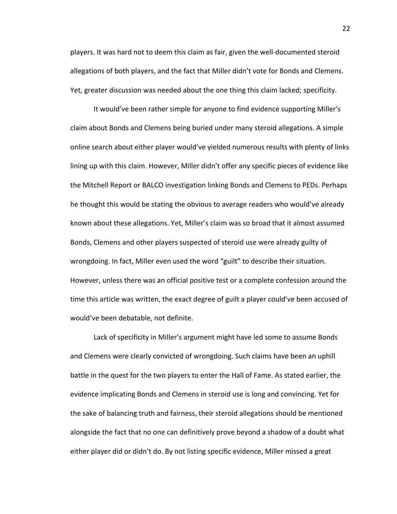players. It was hard not to deem this claim as fair, given the well-documented steroid allegations of both players, and the fact that Miller didn't vote for Bonds and Clemens. Yet, greater discussion was needed about the one thing this claim lacked; specificity.

It would've been rather simple for anyone to find evidence supporting Miller's claim about Bonds and Clemens being buried under many steroid allegations. A simple online search about either player would've yielded numerous results with plenty of links lining up with this claim. However, Miller didn't offer any specific pieces of evidence like the Mitchell Report or BALCO investigation linking Bonds and Clemens to PEDs. Perhaps he thought this would be stating the obvious to average readers who would've already known about these allegations. Yet, Miller's claim was so broad that it almost assumed Bonds, Clemens and other players suspected of steroid use were already guilty of wrongdoing. In fact, Miller even used the word "guilt" to describe their situation. However, unless there was an official positive test or a complete confession around the time this article was written, the exact degree of guilt a player could've been accused of would've been debatable, not definite.

Lack of specificity in Miller's argument might have led some to assume Bonds and Clemens were clearly convicted of wrongdoing. Such claims have been an uphill battle in the quest for the two players to enter the Hall of Fame. As stated earlier, the evidence implicating Bonds and Clemens in steroid use is long and convincing. Yet for the sake of balancing truth and fairness, their steroid allegations should be mentioned alongside the fact that no one can definitively prove beyond a shadow of a doubt what either player did or didn't do. By not listing specific evidence, Miller missed a great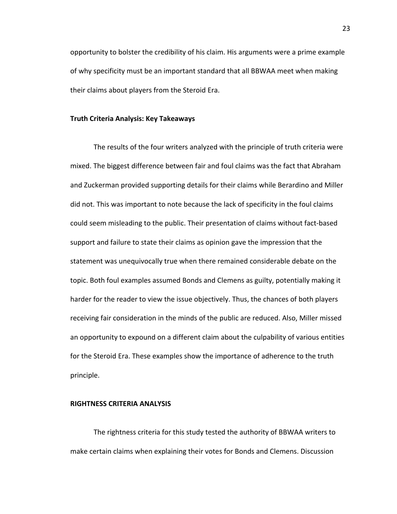opportunity to bolster the credibility of his claim. His arguments were a prime example of why specificity must be an important standard that all BBWAA meet when making their claims about players from the Steroid Era.

# **Truth Criteria Analysis: Key Takeaways**

The results of the four writers analyzed with the principle of truth criteria were mixed. The biggest difference between fair and foul claims was the fact that Abraham and Zuckerman provided supporting details for their claims while Berardino and Miller did not. This was important to note because the lack of specificity in the foul claims could seem misleading to the public. Their presentation of claims without fact-based support and failure to state their claims as opinion gave the impression that the statement was unequivocally true when there remained considerable debate on the topic. Both foul examples assumed Bonds and Clemens as guilty, potentially making it harder for the reader to view the issue objectively. Thus, the chances of both players receiving fair consideration in the minds of the public are reduced. Also, Miller missed an opportunity to expound on a different claim about the culpability of various entities for the Steroid Era. These examples show the importance of adherence to the truth principle.

#### **RIGHTNESS CRITERIA ANALYSIS**

The rightness criteria for this study tested the authority of BBWAA writers to make certain claims when explaining their votes for Bonds and Clemens. Discussion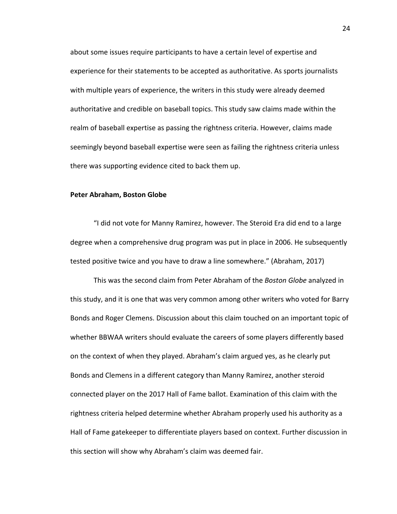about some issues require participants to have a certain level of expertise and experience for their statements to be accepted as authoritative. As sports journalists with multiple years of experience, the writers in this study were already deemed authoritative and credible on baseball topics. This study saw claims made within the realm of baseball expertise as passing the rightness criteria. However, claims made seemingly beyond baseball expertise were seen as failing the rightness criteria unless there was supporting evidence cited to back them up.

#### **Peter Abraham, Boston Globe**

"I did not vote for Manny Ramirez, however. The Steroid Era did end to a large degree when a comprehensive drug program was put in place in 2006. He subsequently tested positive twice and you have to draw a line somewhere." (Abraham, 2017)

This was the second claim from Peter Abraham of the *Boston Globe* analyzed in this study, and it is one that was very common among other writers who voted for Barry Bonds and Roger Clemens. Discussion about this claim touched on an important topic of whether BBWAA writers should evaluate the careers of some players differently based on the context of when they played. Abraham's claim argued yes, as he clearly put Bonds and Clemens in a different category than Manny Ramirez, another steroid connected player on the 2017 Hall of Fame ballot. Examination of this claim with the rightness criteria helped determine whether Abraham properly used his authority as a Hall of Fame gatekeeper to differentiate players based on context. Further discussion in this section will show why Abraham's claim was deemed fair.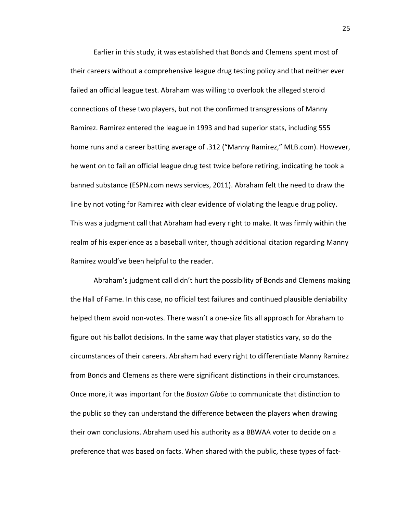Earlier in this study, it was established that Bonds and Clemens spent most of their careers without a comprehensive league drug testing policy and that neither ever failed an official league test. Abraham was willing to overlook the alleged steroid connections of these two players, but not the confirmed transgressions of Manny Ramirez. Ramirez entered the league in 1993 and had superior stats, including 555 home runs and a career batting average of .312 ("Manny Ramirez," MLB.com). However, he went on to fail an official league drug test twice before retiring, indicating he took a banned substance (ESPN.com news services, 2011). Abraham felt the need to draw the line by not voting for Ramirez with clear evidence of violating the league drug policy. This was a judgment call that Abraham had every right to make. It was firmly within the realm of his experience as a baseball writer, though additional citation regarding Manny Ramirez would've been helpful to the reader.

Abraham's judgment call didn't hurt the possibility of Bonds and Clemens making the Hall of Fame. In this case, no official test failures and continued plausible deniability helped them avoid non-votes. There wasn't a one-size fits all approach for Abraham to figure out his ballot decisions. In the same way that player statistics vary, so do the circumstances of their careers. Abraham had every right to differentiate Manny Ramirez from Bonds and Clemens as there were significant distinctions in their circumstances. Once more, it was important for the *Boston Globe* to communicate that distinction to the public so they can understand the difference between the players when drawing their own conclusions. Abraham used his authority as a BBWAA voter to decide on a preference that was based on facts. When shared with the public, these types of fact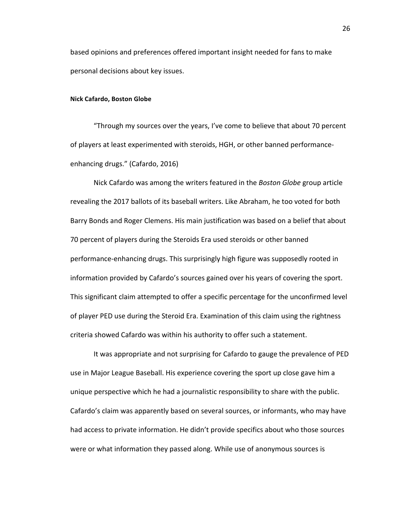based opinions and preferences offered important insight needed for fans to make personal decisions about key issues.

#### **Nick Cafardo, Boston Globe**

"Through my sources over the years, I've come to believe that about 70 percent of players at least experimented with steroids, HGH, or other banned performanceenhancing drugs." (Cafardo, 2016)

Nick Cafardo was among the writers featured in the *Boston Globe* group article revealing the 2017 ballots of its baseball writers. Like Abraham, he too voted for both Barry Bonds and Roger Clemens. His main justification was based on a belief that about 70 percent of players during the Steroids Era used steroids or other banned performance-enhancing drugs. This surprisingly high figure was supposedly rooted in information provided by Cafardo's sources gained over his years of covering the sport. This significant claim attempted to offer a specific percentage for the unconfirmed level of player PED use during the Steroid Era. Examination of this claim using the rightness criteria showed Cafardo was within his authority to offer such a statement.

It was appropriate and not surprising for Cafardo to gauge the prevalence of PED use in Major League Baseball. His experience covering the sport up close gave him a unique perspective which he had a journalistic responsibility to share with the public. Cafardo's claim was apparently based on several sources, or informants, who may have had access to private information. He didn't provide specifics about who those sources were or what information they passed along. While use of anonymous sources is

26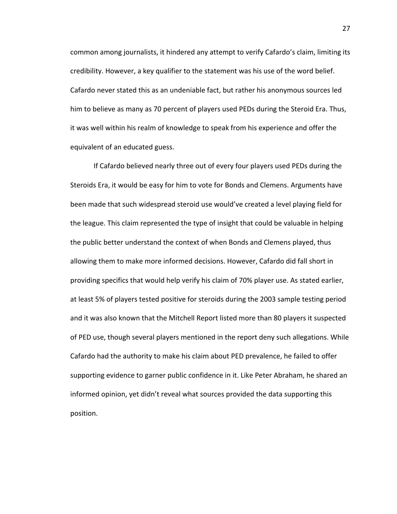common among journalists, it hindered any attempt to verify Cafardo's claim, limiting its credibility. However, a key qualifier to the statement was his use of the word belief. Cafardo never stated this as an undeniable fact, but rather his anonymous sources led him to believe as many as 70 percent of players used PEDs during the Steroid Era. Thus, it was well within his realm of knowledge to speak from his experience and offer the equivalent of an educated guess.

If Cafardo believed nearly three out of every four players used PEDs during the Steroids Era, it would be easy for him to vote for Bonds and Clemens. Arguments have been made that such widespread steroid use would've created a level playing field for the league. This claim represented the type of insight that could be valuable in helping the public better understand the context of when Bonds and Clemens played, thus allowing them to make more informed decisions. However, Cafardo did fall short in providing specifics that would help verify his claim of 70% player use. As stated earlier, at least 5% of players tested positive for steroids during the 2003 sample testing period and it was also known that the Mitchell Report listed more than 80 players it suspected of PED use, though several players mentioned in the report deny such allegations. While Cafardo had the authority to make his claim about PED prevalence, he failed to offer supporting evidence to garner public confidence in it. Like Peter Abraham, he shared an informed opinion, yet didn't reveal what sources provided the data supporting this position.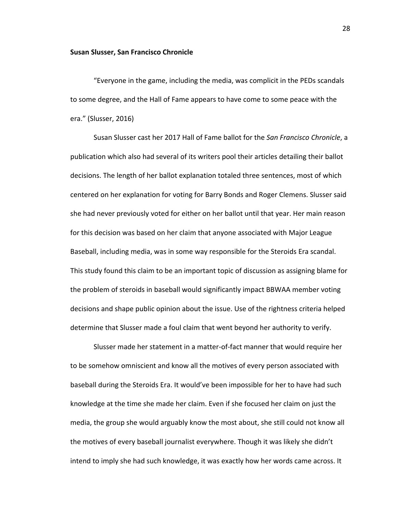#### **Susan Slusser, San Francisco Chronicle**

"Everyone in the game, including the media, was complicit in the PEDs scandals to some degree, and the Hall of Fame appears to have come to some peace with the era." (Slusser, 2016)

Susan Slusser cast her 2017 Hall of Fame ballot for the *San Francisco Chronicle*, a publication which also had several of its writers pool their articles detailing their ballot decisions. The length of her ballot explanation totaled three sentences, most of which centered on her explanation for voting for Barry Bonds and Roger Clemens. Slusser said she had never previously voted for either on her ballot until that year. Her main reason for this decision was based on her claim that anyone associated with Major League Baseball, including media, was in some way responsible for the Steroids Era scandal. This study found this claim to be an important topic of discussion as assigning blame for the problem of steroids in baseball would significantly impact BBWAA member voting decisions and shape public opinion about the issue. Use of the rightness criteria helped determine that Slusser made a foul claim that went beyond her authority to verify.

Slusser made her statement in a matter-of-fact manner that would require her to be somehow omniscient and know all the motives of every person associated with baseball during the Steroids Era. It would've been impossible for her to have had such knowledge at the time she made her claim. Even if she focused her claim on just the media, the group she would arguably know the most about, she still could not know all the motives of every baseball journalist everywhere. Though it was likely she didn't intend to imply she had such knowledge, it was exactly how her words came across. It

28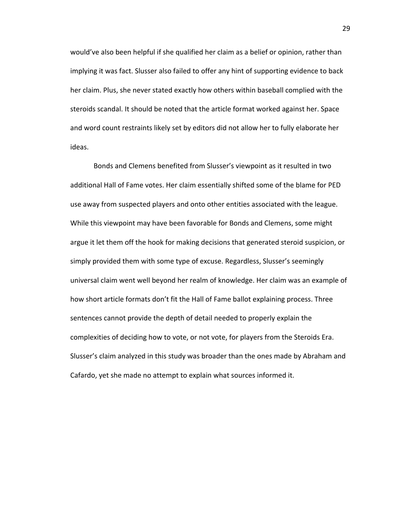would've also been helpful if she qualified her claim as a belief or opinion, rather than implying it was fact. Slusser also failed to offer any hint of supporting evidence to back her claim. Plus, she never stated exactly how others within baseball complied with the steroids scandal. It should be noted that the article format worked against her. Space and word count restraints likely set by editors did not allow her to fully elaborate her ideas. 

Bonds and Clemens benefited from Slusser's viewpoint as it resulted in two additional Hall of Fame votes. Her claim essentially shifted some of the blame for PED use away from suspected players and onto other entities associated with the league. While this viewpoint may have been favorable for Bonds and Clemens, some might argue it let them off the hook for making decisions that generated steroid suspicion, or simply provided them with some type of excuse. Regardless, Slusser's seemingly universal claim went well beyond her realm of knowledge. Her claim was an example of how short article formats don't fit the Hall of Fame ballot explaining process. Three sentences cannot provide the depth of detail needed to properly explain the complexities of deciding how to vote, or not vote, for players from the Steroids Era. Slusser's claim analyzed in this study was broader than the ones made by Abraham and Cafardo, yet she made no attempt to explain what sources informed it.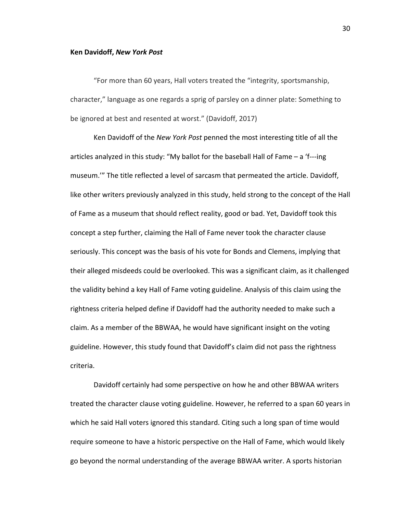#### **Ken Davidoff,** *New York Post*

"For more than 60 years, Hall voters treated the "integrity, sportsmanship, character," language as one regards a sprig of parsley on a dinner plate: Something to be ignored at best and resented at worst." (Davidoff, 2017)

Ken Davidoff of the *New York Post* penned the most interesting title of all the articles analyzed in this study: "My ballot for the baseball Hall of Fame  $-$  a 'f---ing museum.'" The title reflected a level of sarcasm that permeated the article. Davidoff, like other writers previously analyzed in this study, held strong to the concept of the Hall of Fame as a museum that should reflect reality, good or bad. Yet, Davidoff took this concept a step further, claiming the Hall of Fame never took the character clause seriously. This concept was the basis of his vote for Bonds and Clemens, implying that their alleged misdeeds could be overlooked. This was a significant claim, as it challenged the validity behind a key Hall of Fame voting guideline. Analysis of this claim using the rightness criteria helped define if Davidoff had the authority needed to make such a claim. As a member of the BBWAA, he would have significant insight on the voting guideline. However, this study found that Davidoff's claim did not pass the rightness criteria. 

Davidoff certainly had some perspective on how he and other BBWAA writers treated the character clause voting guideline. However, he referred to a span 60 years in which he said Hall voters ignored this standard. Citing such a long span of time would require someone to have a historic perspective on the Hall of Fame, which would likely go beyond the normal understanding of the average BBWAA writer. A sports historian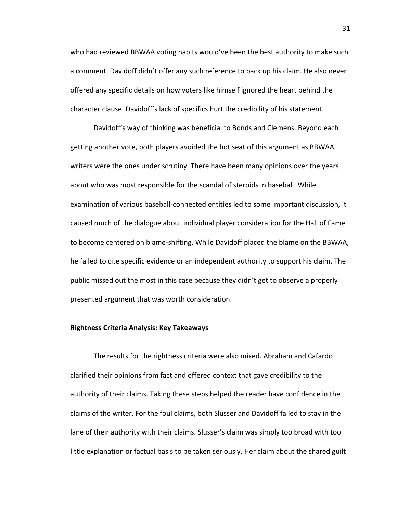who had reviewed BBWAA voting habits would've been the best authority to make such a comment. Davidoff didn't offer any such reference to back up his claim. He also never offered any specific details on how voters like himself ignored the heart behind the character clause. Davidoff's lack of specifics hurt the credibility of his statement.

Davidoff's way of thinking was beneficial to Bonds and Clemens. Beyond each getting another vote, both players avoided the hot seat of this argument as BBWAA writers were the ones under scrutiny. There have been many opinions over the years about who was most responsible for the scandal of steroids in baseball. While examination of various baseball-connected entities led to some important discussion, it caused much of the dialogue about individual player consideration for the Hall of Fame to become centered on blame-shifting. While Davidoff placed the blame on the BBWAA, he failed to cite specific evidence or an independent authority to support his claim. The public missed out the most in this case because they didn't get to observe a properly presented argument that was worth consideration.

#### **Rightness Criteria Analysis: Key Takeaways**

The results for the rightness criteria were also mixed. Abraham and Cafardo clarified their opinions from fact and offered context that gave credibility to the authority of their claims. Taking these steps helped the reader have confidence in the claims of the writer. For the foul claims, both Slusser and Davidoff failed to stay in the lane of their authority with their claims. Slusser's claim was simply too broad with too little explanation or factual basis to be taken seriously. Her claim about the shared guilt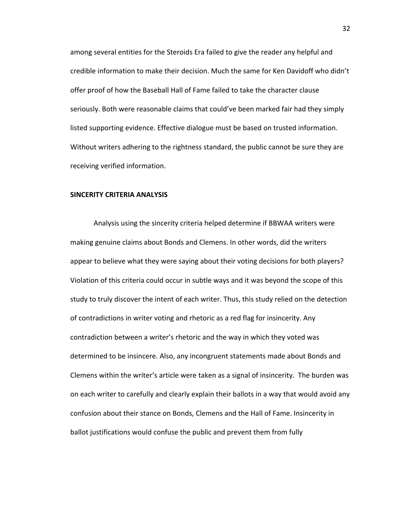among several entities for the Steroids Era failed to give the reader any helpful and credible information to make their decision. Much the same for Ken Davidoff who didn't offer proof of how the Baseball Hall of Fame failed to take the character clause seriously. Both were reasonable claims that could've been marked fair had they simply listed supporting evidence. Effective dialogue must be based on trusted information. Without writers adhering to the rightness standard, the public cannot be sure they are receiving verified information.

## **SINCERITY CRITERIA ANALYSIS**

Analysis using the sincerity criteria helped determine if BBWAA writers were making genuine claims about Bonds and Clemens. In other words, did the writers appear to believe what they were saying about their voting decisions for both players? Violation of this criteria could occur in subtle ways and it was beyond the scope of this study to truly discover the intent of each writer. Thus, this study relied on the detection of contradictions in writer voting and rhetoric as a red flag for insincerity. Any contradiction between a writer's rhetoric and the way in which they voted was determined to be insincere. Also, any incongruent statements made about Bonds and Clemens within the writer's article were taken as a signal of insincerity. The burden was on each writer to carefully and clearly explain their ballots in a way that would avoid any confusion about their stance on Bonds, Clemens and the Hall of Fame. Insincerity in ballot justifications would confuse the public and prevent them from fully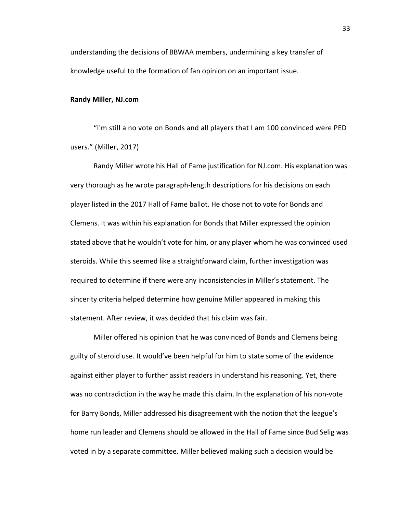understanding the decisions of BBWAA members, undermining a key transfer of knowledge useful to the formation of fan opinion on an important issue.

### **Randy Miller, NJ.com**

"I'm still a no vote on Bonds and all players that I am 100 convinced were PED users." (Miller, 2017)

Randy Miller wrote his Hall of Fame justification for NJ.com. His explanation was very thorough as he wrote paragraph-length descriptions for his decisions on each player listed in the 2017 Hall of Fame ballot. He chose not to vote for Bonds and Clemens. It was within his explanation for Bonds that Miller expressed the opinion stated above that he wouldn't vote for him, or any player whom he was convinced used steroids. While this seemed like a straightforward claim, further investigation was required to determine if there were any inconsistencies in Miller's statement. The sincerity criteria helped determine how genuine Miller appeared in making this statement. After review, it was decided that his claim was fair.

Miller offered his opinion that he was convinced of Bonds and Clemens being guilty of steroid use. It would've been helpful for him to state some of the evidence against either player to further assist readers in understand his reasoning. Yet, there was no contradiction in the way he made this claim. In the explanation of his non-vote for Barry Bonds, Miller addressed his disagreement with the notion that the league's home run leader and Clemens should be allowed in the Hall of Fame since Bud Selig was voted in by a separate committee. Miller believed making such a decision would be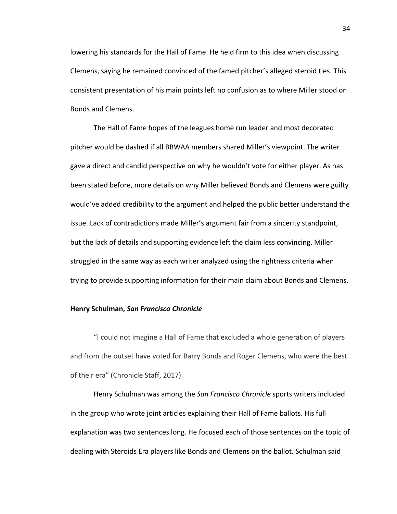lowering his standards for the Hall of Fame. He held firm to this idea when discussing Clemens, saying he remained convinced of the famed pitcher's alleged steroid ties. This consistent presentation of his main points left no confusion as to where Miller stood on Bonds and Clemens.

The Hall of Fame hopes of the leagues home run leader and most decorated pitcher would be dashed if all BBWAA members shared Miller's viewpoint. The writer gave a direct and candid perspective on why he wouldn't vote for either player. As has been stated before, more details on why Miller believed Bonds and Clemens were guilty would've added credibility to the argument and helped the public better understand the issue. Lack of contradictions made Miller's argument fair from a sincerity standpoint, but the lack of details and supporting evidence left the claim less convincing. Miller struggled in the same way as each writer analyzed using the rightness criteria when trying to provide supporting information for their main claim about Bonds and Clemens.

### **Henry Schulman,** *San Francisco Chronicle*

"I could not imagine a Hall of Fame that excluded a whole generation of players and from the outset have voted for Barry Bonds and Roger Clemens, who were the best of their era" (Chronicle Staff, 2017).

Henry Schulman was among the *San Francisco Chronicle* sports writers included in the group who wrote joint articles explaining their Hall of Fame ballots. His full explanation was two sentences long. He focused each of those sentences on the topic of dealing with Steroids Era players like Bonds and Clemens on the ballot. Schulman said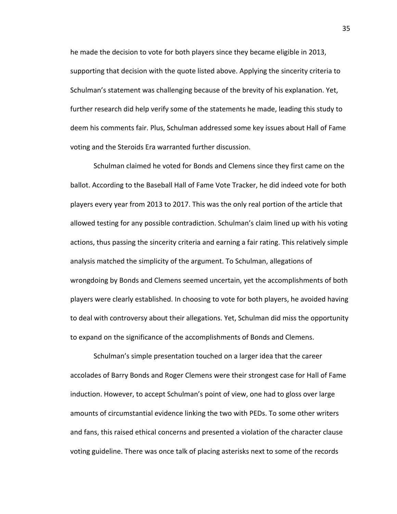he made the decision to vote for both players since they became eligible in 2013, supporting that decision with the quote listed above. Applying the sincerity criteria to Schulman's statement was challenging because of the brevity of his explanation. Yet, further research did help verify some of the statements he made, leading this study to deem his comments fair. Plus, Schulman addressed some key issues about Hall of Fame voting and the Steroids Era warranted further discussion.

Schulman claimed he voted for Bonds and Clemens since they first came on the ballot. According to the Baseball Hall of Fame Vote Tracker, he did indeed vote for both players every year from 2013 to 2017. This was the only real portion of the article that allowed testing for any possible contradiction. Schulman's claim lined up with his voting actions, thus passing the sincerity criteria and earning a fair rating. This relatively simple analysis matched the simplicity of the argument. To Schulman, allegations of wrongdoing by Bonds and Clemens seemed uncertain, yet the accomplishments of both players were clearly established. In choosing to vote for both players, he avoided having to deal with controversy about their allegations. Yet, Schulman did miss the opportunity to expand on the significance of the accomplishments of Bonds and Clemens.

Schulman's simple presentation touched on a larger idea that the career accolades of Barry Bonds and Roger Clemens were their strongest case for Hall of Fame induction. However, to accept Schulman's point of view, one had to gloss over large amounts of circumstantial evidence linking the two with PEDs. To some other writers and fans, this raised ethical concerns and presented a violation of the character clause voting guideline. There was once talk of placing asterisks next to some of the records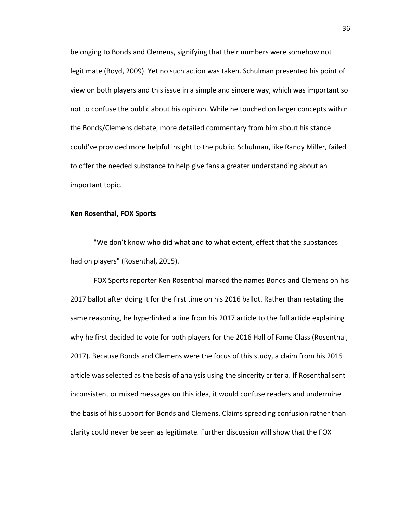belonging to Bonds and Clemens, signifying that their numbers were somehow not legitimate (Boyd, 2009). Yet no such action was taken. Schulman presented his point of view on both players and this issue in a simple and sincere way, which was important so not to confuse the public about his opinion. While he touched on larger concepts within the Bonds/Clemens debate, more detailed commentary from him about his stance could've provided more helpful insight to the public. Schulman, like Randy Miller, failed to offer the needed substance to help give fans a greater understanding about an important topic.

# **Ken Rosenthal, FOX Sports**

"We don't know who did what and to what extent, effect that the substances had on players" (Rosenthal, 2015).

FOX Sports reporter Ken Rosenthal marked the names Bonds and Clemens on his 2017 ballot after doing it for the first time on his 2016 ballot. Rather than restating the same reasoning, he hyperlinked a line from his 2017 article to the full article explaining why he first decided to vote for both players for the 2016 Hall of Fame Class (Rosenthal, 2017). Because Bonds and Clemens were the focus of this study, a claim from his 2015 article was selected as the basis of analysis using the sincerity criteria. If Rosenthal sent inconsistent or mixed messages on this idea, it would confuse readers and undermine the basis of his support for Bonds and Clemens. Claims spreading confusion rather than clarity could never be seen as legitimate. Further discussion will show that the FOX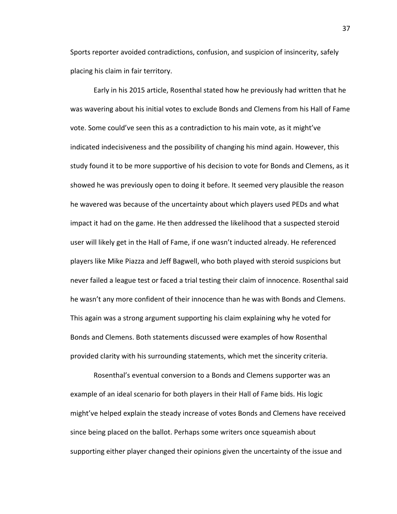Sports reporter avoided contradictions, confusion, and suspicion of insincerity, safely placing his claim in fair territory.

Early in his 2015 article, Rosenthal stated how he previously had written that he was wavering about his initial votes to exclude Bonds and Clemens from his Hall of Fame vote. Some could've seen this as a contradiction to his main vote, as it might've indicated indecisiveness and the possibility of changing his mind again. However, this study found it to be more supportive of his decision to vote for Bonds and Clemens, as it showed he was previously open to doing it before. It seemed very plausible the reason he wavered was because of the uncertainty about which players used PEDs and what impact it had on the game. He then addressed the likelihood that a suspected steroid user will likely get in the Hall of Fame, if one wasn't inducted already. He referenced players like Mike Piazza and Jeff Bagwell, who both played with steroid suspicions but never failed a league test or faced a trial testing their claim of innocence. Rosenthal said he wasn't any more confident of their innocence than he was with Bonds and Clemens. This again was a strong argument supporting his claim explaining why he voted for Bonds and Clemens. Both statements discussed were examples of how Rosenthal provided clarity with his surrounding statements, which met the sincerity criteria.

Rosenthal's eventual conversion to a Bonds and Clemens supporter was an example of an ideal scenario for both players in their Hall of Fame bids. His logic might've helped explain the steady increase of votes Bonds and Clemens have received since being placed on the ballot. Perhaps some writers once squeamish about supporting either player changed their opinions given the uncertainty of the issue and

37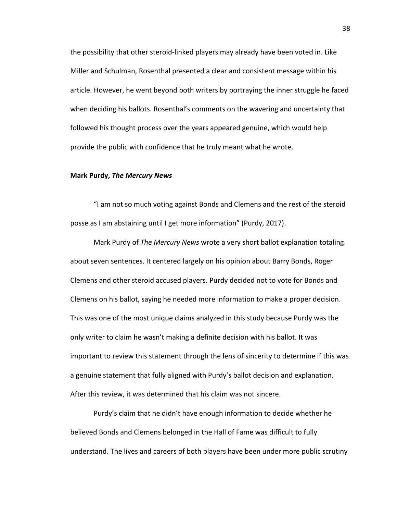the possibility that other steroid-linked players may already have been voted in. Like Miller and Schulman, Rosenthal presented a clear and consistent message within his article. However, he went beyond both writers by portraying the inner struggle he faced when deciding his ballots. Rosenthal's comments on the wavering and uncertainty that followed his thought process over the years appeared genuine, which would help provide the public with confidence that he truly meant what he wrote.

### **Mark Purdy,** *The Mercury News*

"I am not so much voting against Bonds and Clemens and the rest of the steroid posse as I am abstaining until I get more information" (Purdy, 2017).

Mark Purdy of *The Mercury News* wrote a very short ballot explanation totaling about seven sentences. It centered largely on his opinion about Barry Bonds, Roger Clemens and other steroid accused players. Purdy decided not to vote for Bonds and Clemens on his ballot, saying he needed more information to make a proper decision. This was one of the most unique claims analyzed in this study because Purdy was the only writer to claim he wasn't making a definite decision with his ballot. It was important to review this statement through the lens of sincerity to determine if this was a genuine statement that fully aligned with Purdy's ballot decision and explanation. After this review, it was determined that his claim was not sincere.

Purdy's claim that he didn't have enough information to decide whether he believed Bonds and Clemens belonged in the Hall of Fame was difficult to fully understand. The lives and careers of both players have been under more public scrutiny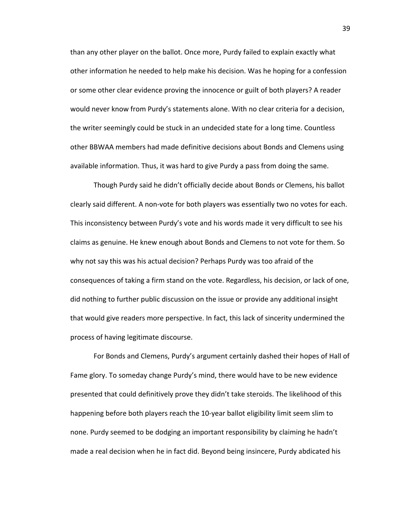than any other player on the ballot. Once more, Purdy failed to explain exactly what other information he needed to help make his decision. Was he hoping for a confession or some other clear evidence proving the innocence or guilt of both players? A reader would never know from Purdy's statements alone. With no clear criteria for a decision, the writer seemingly could be stuck in an undecided state for a long time. Countless other BBWAA members had made definitive decisions about Bonds and Clemens using available information. Thus, it was hard to give Purdy a pass from doing the same.

Though Purdy said he didn't officially decide about Bonds or Clemens, his ballot clearly said different. A non-vote for both players was essentially two no votes for each. This inconsistency between Purdy's vote and his words made it very difficult to see his claims as genuine. He knew enough about Bonds and Clemens to not vote for them. So why not say this was his actual decision? Perhaps Purdy was too afraid of the consequences of taking a firm stand on the vote. Regardless, his decision, or lack of one, did nothing to further public discussion on the issue or provide any additional insight that would give readers more perspective. In fact, this lack of sincerity undermined the process of having legitimate discourse.

For Bonds and Clemens, Purdy's argument certainly dashed their hopes of Hall of Fame glory. To someday change Purdy's mind, there would have to be new evidence presented that could definitively prove they didn't take steroids. The likelihood of this happening before both players reach the 10-year ballot eligibility limit seem slim to none. Purdy seemed to be dodging an important responsibility by claiming he hadn't made a real decision when he in fact did. Beyond being insincere, Purdy abdicated his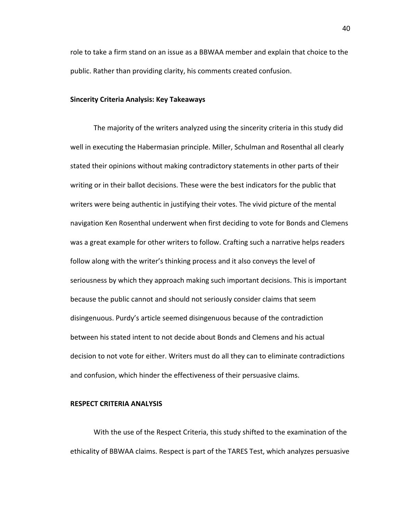role to take a firm stand on an issue as a BBWAA member and explain that choice to the public. Rather than providing clarity, his comments created confusion.

# **Sincerity Criteria Analysis: Key Takeaways**

The majority of the writers analyzed using the sincerity criteria in this study did well in executing the Habermasian principle. Miller, Schulman and Rosenthal all clearly stated their opinions without making contradictory statements in other parts of their writing or in their ballot decisions. These were the best indicators for the public that writers were being authentic in justifying their votes. The vivid picture of the mental navigation Ken Rosenthal underwent when first deciding to vote for Bonds and Clemens was a great example for other writers to follow. Crafting such a narrative helps readers follow along with the writer's thinking process and it also conveys the level of seriousness by which they approach making such important decisions. This is important because the public cannot and should not seriously consider claims that seem disingenuous. Purdy's article seemed disingenuous because of the contradiction between his stated intent to not decide about Bonds and Clemens and his actual decision to not vote for either. Writers must do all they can to eliminate contradictions and confusion, which hinder the effectiveness of their persuasive claims.

## **RESPECT CRITERIA ANALYSIS**

With the use of the Respect Criteria, this study shifted to the examination of the ethicality of BBWAA claims. Respect is part of the TARES Test, which analyzes persuasive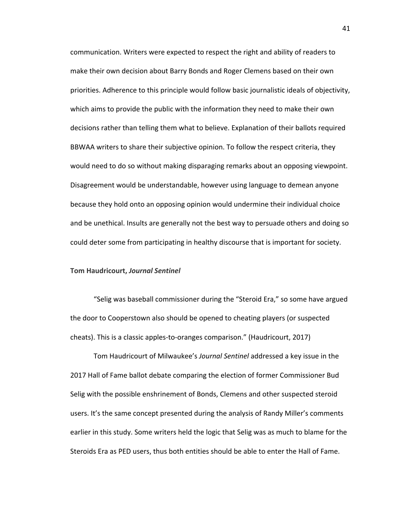communication. Writers were expected to respect the right and ability of readers to make their own decision about Barry Bonds and Roger Clemens based on their own priorities. Adherence to this principle would follow basic journalistic ideals of objectivity, which aims to provide the public with the information they need to make their own decisions rather than telling them what to believe. Explanation of their ballots required BBWAA writers to share their subjective opinion. To follow the respect criteria, they would need to do so without making disparaging remarks about an opposing viewpoint. Disagreement would be understandable, however using language to demean anyone because they hold onto an opposing opinion would undermine their individual choice and be unethical. Insults are generally not the best way to persuade others and doing so could deter some from participating in healthy discourse that is important for society.

#### **Tom Haudricourt,** *Journal Sentinel*

"Selig was baseball commissioner during the "Steroid Era," so some have argued the door to Cooperstown also should be opened to cheating players (or suspected cheats). This is a classic apples-to-oranges comparison." (Haudricourt, 2017)

Tom Haudricourt of Milwaukee's *Journal Sentinel* addressed a key issue in the 2017 Hall of Fame ballot debate comparing the election of former Commissioner Bud Selig with the possible enshrinement of Bonds, Clemens and other suspected steroid users. It's the same concept presented during the analysis of Randy Miller's comments earlier in this study. Some writers held the logic that Selig was as much to blame for the Steroids Era as PED users, thus both entities should be able to enter the Hall of Fame.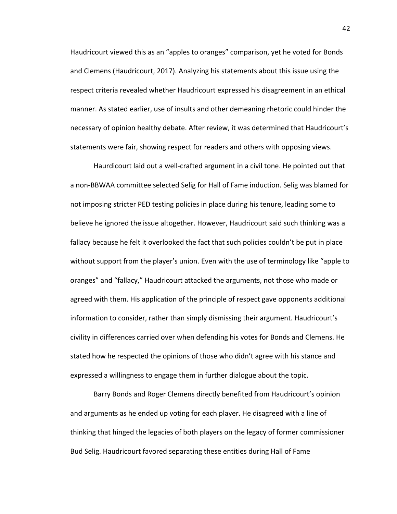Haudricourt viewed this as an "apples to oranges" comparison, yet he voted for Bonds and Clemens (Haudricourt, 2017). Analyzing his statements about this issue using the respect criteria revealed whether Haudricourt expressed his disagreement in an ethical manner. As stated earlier, use of insults and other demeaning rhetoric could hinder the necessary of opinion healthy debate. After review, it was determined that Haudricourt's statements were fair, showing respect for readers and others with opposing views.

Haurdicourt laid out a well-crafted argument in a civil tone. He pointed out that a non-BBWAA committee selected Selig for Hall of Fame induction. Selig was blamed for not imposing stricter PED testing policies in place during his tenure, leading some to believe he ignored the issue altogether. However, Haudricourt said such thinking was a fallacy because he felt it overlooked the fact that such policies couldn't be put in place without support from the player's union. Even with the use of terminology like "apple to oranges" and "fallacy," Haudricourt attacked the arguments, not those who made or agreed with them. His application of the principle of respect gave opponents additional information to consider, rather than simply dismissing their argument. Haudricourt's civility in differences carried over when defending his votes for Bonds and Clemens. He stated how he respected the opinions of those who didn't agree with his stance and expressed a willingness to engage them in further dialogue about the topic.

Barry Bonds and Roger Clemens directly benefited from Haudricourt's opinion and arguments as he ended up voting for each player. He disagreed with a line of thinking that hinged the legacies of both players on the legacy of former commissioner Bud Selig. Haudricourt favored separating these entities during Hall of Fame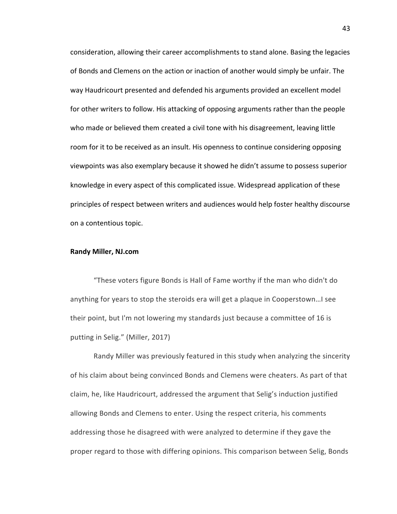consideration, allowing their career accomplishments to stand alone. Basing the legacies of Bonds and Clemens on the action or inaction of another would simply be unfair. The way Haudricourt presented and defended his arguments provided an excellent model for other writers to follow. His attacking of opposing arguments rather than the people who made or believed them created a civil tone with his disagreement, leaving little room for it to be received as an insult. His openness to continue considering opposing viewpoints was also exemplary because it showed he didn't assume to possess superior knowledge in every aspect of this complicated issue. Widespread application of these principles of respect between writers and audiences would help foster healthy discourse on a contentious topic.

## **Randy Miller, NJ.com**

"These voters figure Bonds is Hall of Fame worthy if the man who didn't do anything for years to stop the steroids era will get a plaque in Cooperstown...I see their point, but I'm not lowering my standards just because a committee of 16 is putting in Selig." (Miller, 2017)

Randy Miller was previously featured in this study when analyzing the sincerity of his claim about being convinced Bonds and Clemens were cheaters. As part of that claim, he, like Haudricourt, addressed the argument that Selig's induction justified allowing Bonds and Clemens to enter. Using the respect criteria, his comments addressing those he disagreed with were analyzed to determine if they gave the proper regard to those with differing opinions. This comparison between Selig, Bonds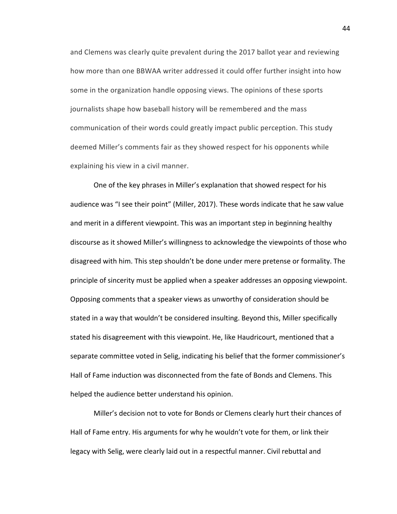and Clemens was clearly quite prevalent during the 2017 ballot year and reviewing how more than one BBWAA writer addressed it could offer further insight into how some in the organization handle opposing views. The opinions of these sports journalists shape how baseball history will be remembered and the mass communication of their words could greatly impact public perception. This study deemed Miller's comments fair as they showed respect for his opponents while explaining his view in a civil manner.

One of the key phrases in Miller's explanation that showed respect for his audience was "I see their point" (Miller, 2017). These words indicate that he saw value and merit in a different viewpoint. This was an important step in beginning healthy discourse as it showed Miller's willingness to acknowledge the viewpoints of those who disagreed with him. This step shouldn't be done under mere pretense or formality. The principle of sincerity must be applied when a speaker addresses an opposing viewpoint. Opposing comments that a speaker views as unworthy of consideration should be stated in a way that wouldn't be considered insulting. Beyond this, Miller specifically stated his disagreement with this viewpoint. He, like Haudricourt, mentioned that a separate committee voted in Selig, indicating his belief that the former commissioner's Hall of Fame induction was disconnected from the fate of Bonds and Clemens. This helped the audience better understand his opinion.

Miller's decision not to vote for Bonds or Clemens clearly hurt their chances of Hall of Fame entry. His arguments for why he wouldn't vote for them, or link their legacy with Selig, were clearly laid out in a respectful manner. Civil rebuttal and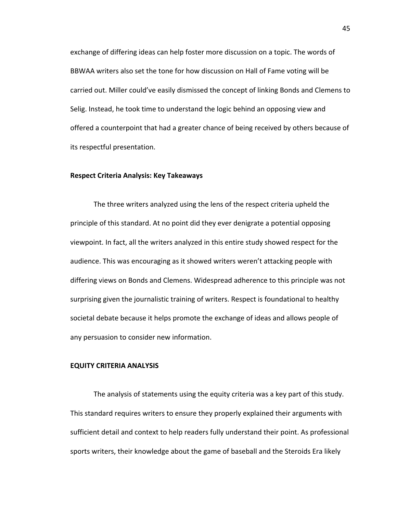exchange of differing ideas can help foster more discussion on a topic. The words of BBWAA writers also set the tone for how discussion on Hall of Fame voting will be carried out. Miller could've easily dismissed the concept of linking Bonds and Clemens to Selig. Instead, he took time to understand the logic behind an opposing view and offered a counterpoint that had a greater chance of being received by others because of its respectful presentation.

## **Respect Criteria Analysis: Key Takeaways**

The three writers analyzed using the lens of the respect criteria upheld the principle of this standard. At no point did they ever denigrate a potential opposing viewpoint. In fact, all the writers analyzed in this entire study showed respect for the audience. This was encouraging as it showed writers weren't attacking people with differing views on Bonds and Clemens. Widespread adherence to this principle was not surprising given the journalistic training of writers. Respect is foundational to healthy societal debate because it helps promote the exchange of ideas and allows people of any persuasion to consider new information.

# **EQUITY CRITERIA ANALYSIS**

The analysis of statements using the equity criteria was a key part of this study. This standard requires writers to ensure they properly explained their arguments with sufficient detail and context to help readers fully understand their point. As professional sports writers, their knowledge about the game of baseball and the Steroids Era likely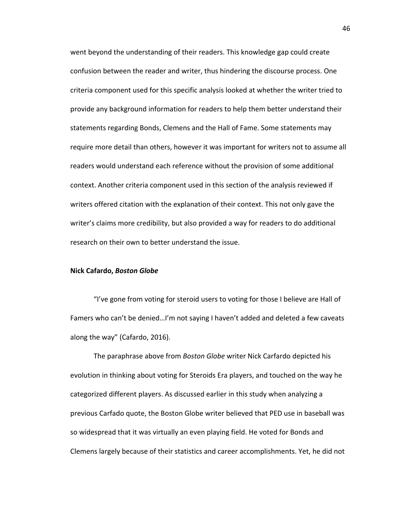went beyond the understanding of their readers. This knowledge gap could create confusion between the reader and writer, thus hindering the discourse process. One criteria component used for this specific analysis looked at whether the writer tried to provide any background information for readers to help them better understand their statements regarding Bonds, Clemens and the Hall of Fame. Some statements may require more detail than others, however it was important for writers not to assume all readers would understand each reference without the provision of some additional context. Another criteria component used in this section of the analysis reviewed if writers offered citation with the explanation of their context. This not only gave the writer's claims more credibility, but also provided a way for readers to do additional research on their own to better understand the issue.

#### **Nick Cafardo,** *Boston Globe*

"I've gone from voting for steroid users to voting for those I believe are Hall of Famers who can't be denied...I'm not saying I haven't added and deleted a few caveats along the way" (Cafardo, 2016).

The paraphrase above from *Boston Globe* writer Nick Carfardo depicted his evolution in thinking about voting for Steroids Era players, and touched on the way he categorized different players. As discussed earlier in this study when analyzing a previous Carfado quote, the Boston Globe writer believed that PED use in baseball was so widespread that it was virtually an even playing field. He voted for Bonds and Clemens largely because of their statistics and career accomplishments. Yet, he did not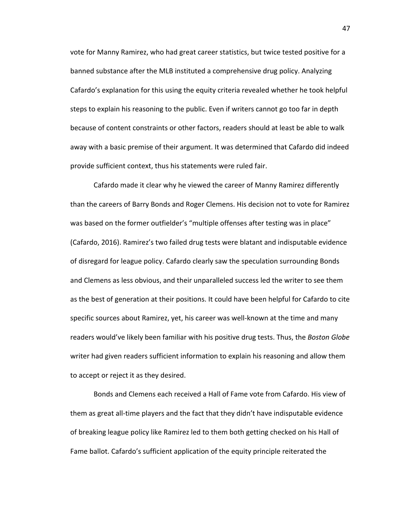vote for Manny Ramirez, who had great career statistics, but twice tested positive for a banned substance after the MLB instituted a comprehensive drug policy. Analyzing Cafardo's explanation for this using the equity criteria revealed whether he took helpful steps to explain his reasoning to the public. Even if writers cannot go too far in depth because of content constraints or other factors, readers should at least be able to walk away with a basic premise of their argument. It was determined that Cafardo did indeed provide sufficient context, thus his statements were ruled fair.

Cafardo made it clear why he viewed the career of Manny Ramirez differently than the careers of Barry Bonds and Roger Clemens. His decision not to vote for Ramirez was based on the former outfielder's "multiple offenses after testing was in place" (Cafardo, 2016). Ramirez's two failed drug tests were blatant and indisputable evidence of disregard for league policy. Cafardo clearly saw the speculation surrounding Bonds and Clemens as less obvious, and their unparalleled success led the writer to see them as the best of generation at their positions. It could have been helpful for Cafardo to cite specific sources about Ramirez, yet, his career was well-known at the time and many readers would've likely been familiar with his positive drug tests. Thus, the *Boston Globe* writer had given readers sufficient information to explain his reasoning and allow them to accept or reject it as they desired.

Bonds and Clemens each received a Hall of Fame vote from Cafardo. His view of them as great all-time players and the fact that they didn't have indisputable evidence of breaking league policy like Ramirez led to them both getting checked on his Hall of Fame ballot. Cafardo's sufficient application of the equity principle reiterated the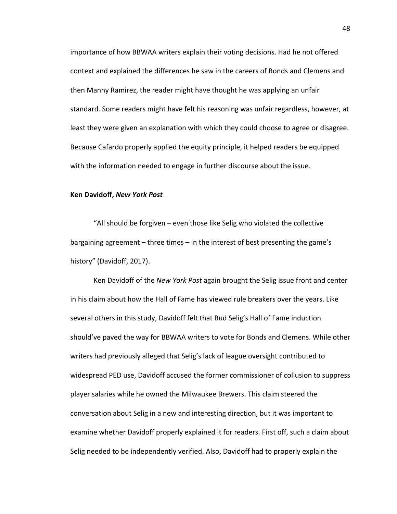importance of how BBWAA writers explain their voting decisions. Had he not offered context and explained the differences he saw in the careers of Bonds and Clemens and then Manny Ramirez, the reader might have thought he was applying an unfair standard. Some readers might have felt his reasoning was unfair regardless, however, at least they were given an explanation with which they could choose to agree or disagree. Because Cafardo properly applied the equity principle, it helped readers be equipped with the information needed to engage in further discourse about the issue.

## **Ken Davidoff,** *New York Post*

"All should be forgiven - even those like Selig who violated the collective bargaining agreement  $-$  three times  $-$  in the interest of best presenting the game's history" (Davidoff, 2017).

Ken Davidoff of the *New York Post* again brought the Selig issue front and center in his claim about how the Hall of Fame has viewed rule breakers over the years. Like several others in this study, Davidoff felt that Bud Selig's Hall of Fame induction should've paved the way for BBWAA writers to vote for Bonds and Clemens. While other writers had previously alleged that Selig's lack of league oversight contributed to widespread PED use, Davidoff accused the former commissioner of collusion to suppress player salaries while he owned the Milwaukee Brewers. This claim steered the conversation about Selig in a new and interesting direction, but it was important to examine whether Davidoff properly explained it for readers. First off, such a claim about Selig needed to be independently verified. Also, Davidoff had to properly explain the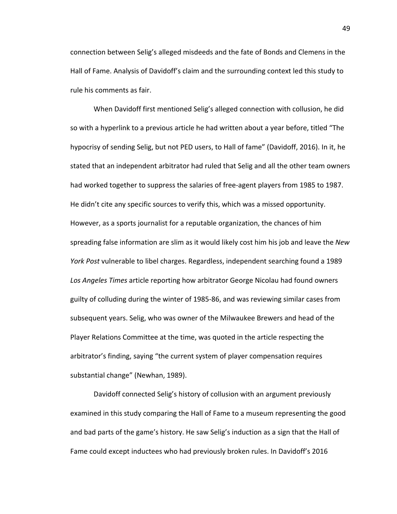connection between Selig's alleged misdeeds and the fate of Bonds and Clemens in the Hall of Fame. Analysis of Davidoff's claim and the surrounding context led this study to rule his comments as fair.

When Davidoff first mentioned Selig's alleged connection with collusion, he did so with a hyperlink to a previous article he had written about a year before, titled "The hypocrisy of sending Selig, but not PED users, to Hall of fame" (Davidoff, 2016). In it, he stated that an independent arbitrator had ruled that Selig and all the other team owners had worked together to suppress the salaries of free-agent players from 1985 to 1987. He didn't cite any specific sources to verify this, which was a missed opportunity. However, as a sports journalist for a reputable organization, the chances of him spreading false information are slim as it would likely cost him his job and leave the New *York Post* vulnerable to libel charges. Regardless, independent searching found a 1989 Los Angeles Times article reporting how arbitrator George Nicolau had found owners guilty of colluding during the winter of 1985-86, and was reviewing similar cases from subsequent years. Selig, who was owner of the Milwaukee Brewers and head of the Player Relations Committee at the time, was quoted in the article respecting the arbitrator's finding, saying "the current system of player compensation requires substantial change" (Newhan, 1989).

Davidoff connected Selig's history of collusion with an argument previously examined in this study comparing the Hall of Fame to a museum representing the good and bad parts of the game's history. He saw Selig's induction as a sign that the Hall of Fame could except inductees who had previously broken rules. In Davidoff's 2016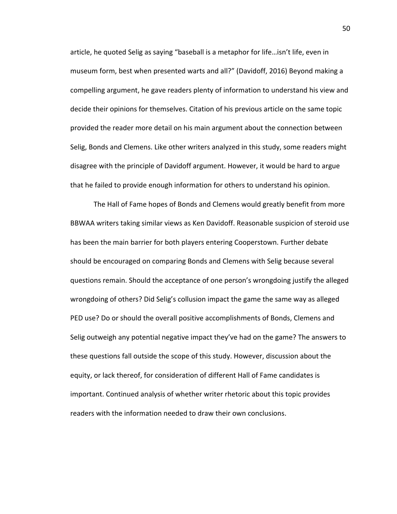article, he quoted Selig as saying "baseball is a metaphor for life...isn't life, even in museum form, best when presented warts and all?" (Davidoff, 2016) Beyond making a compelling argument, he gave readers plenty of information to understand his view and decide their opinions for themselves. Citation of his previous article on the same topic provided the reader more detail on his main argument about the connection between Selig, Bonds and Clemens. Like other writers analyzed in this study, some readers might disagree with the principle of Davidoff argument. However, it would be hard to argue that he failed to provide enough information for others to understand his opinion.

The Hall of Fame hopes of Bonds and Clemens would greatly benefit from more BBWAA writers taking similar views as Ken Davidoff. Reasonable suspicion of steroid use has been the main barrier for both players entering Cooperstown. Further debate should be encouraged on comparing Bonds and Clemens with Selig because several questions remain. Should the acceptance of one person's wrongdoing justify the alleged wrongdoing of others? Did Selig's collusion impact the game the same way as alleged PED use? Do or should the overall positive accomplishments of Bonds, Clemens and Selig outweigh any potential negative impact they've had on the game? The answers to these questions fall outside the scope of this study. However, discussion about the equity, or lack thereof, for consideration of different Hall of Fame candidates is important. Continued analysis of whether writer rhetoric about this topic provides readers with the information needed to draw their own conclusions.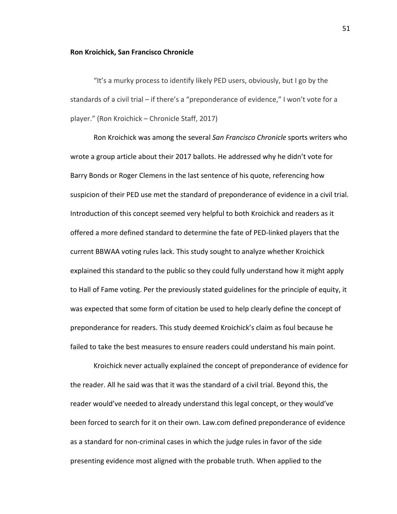#### **Ron Kroichick, San Francisco Chronicle**

"It's a murky process to identify likely PED users, obviously, but I go by the standards of a civil trial  $-$  if there's a "preponderance of evidence," I won't vote for a player." (Ron Kroichick – Chronicle Staff, 2017)

Ron Kroichick was among the several *San Francisco Chronicle* sports writers who wrote a group article about their 2017 ballots. He addressed why he didn't vote for Barry Bonds or Roger Clemens in the last sentence of his quote, referencing how suspicion of their PED use met the standard of preponderance of evidence in a civil trial. Introduction of this concept seemed very helpful to both Kroichick and readers as it offered a more defined standard to determine the fate of PED-linked players that the current BBWAA voting rules lack. This study sought to analyze whether Kroichick explained this standard to the public so they could fully understand how it might apply to Hall of Fame voting. Per the previously stated guidelines for the principle of equity, it was expected that some form of citation be used to help clearly define the concept of preponderance for readers. This study deemed Kroichick's claim as foul because he failed to take the best measures to ensure readers could understand his main point.

Kroichick never actually explained the concept of preponderance of evidence for the reader. All he said was that it was the standard of a civil trial. Beyond this, the reader would've needed to already understand this legal concept, or they would've been forced to search for it on their own. Law.com defined preponderance of evidence as a standard for non-criminal cases in which the judge rules in favor of the side presenting evidence most aligned with the probable truth. When applied to the

51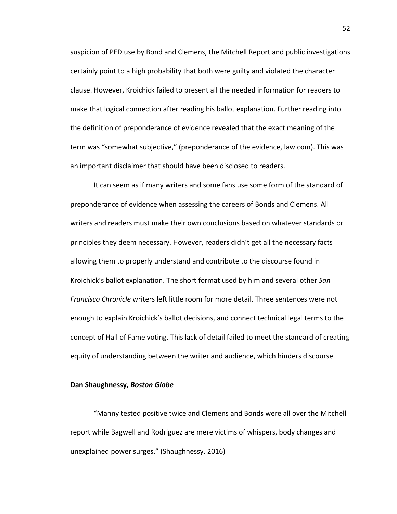suspicion of PED use by Bond and Clemens, the Mitchell Report and public investigations certainly point to a high probability that both were guilty and violated the character clause. However, Kroichick failed to present all the needed information for readers to make that logical connection after reading his ballot explanation. Further reading into the definition of preponderance of evidence revealed that the exact meaning of the term was "somewhat subjective," (preponderance of the evidence, law.com). This was an important disclaimer that should have been disclosed to readers.

It can seem as if many writers and some fans use some form of the standard of preponderance of evidence when assessing the careers of Bonds and Clemens. All writers and readers must make their own conclusions based on whatever standards or principles they deem necessary. However, readers didn't get all the necessary facts allowing them to properly understand and contribute to the discourse found in Kroichick's ballot explanation. The short format used by him and several other *San Francisco Chronicle* writers left little room for more detail. Three sentences were not enough to explain Kroichick's ballot decisions, and connect technical legal terms to the concept of Hall of Fame voting. This lack of detail failed to meet the standard of creating equity of understanding between the writer and audience, which hinders discourse.

# **Dan Shaughnessy, Boston Globe**

"Manny tested positive twice and Clemens and Bonds were all over the Mitchell report while Bagwell and Rodriguez are mere victims of whispers, body changes and unexplained power surges." (Shaughnessy, 2016)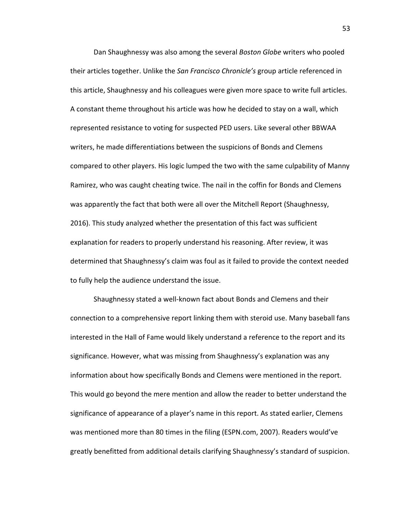Dan Shaughnessy was also among the several *Boston Globe* writers who pooled their articles together. Unlike the San Francisco Chronicle's group article referenced in this article, Shaughnessy and his colleagues were given more space to write full articles. A constant theme throughout his article was how he decided to stay on a wall, which represented resistance to voting for suspected PED users. Like several other BBWAA writers, he made differentiations between the suspicions of Bonds and Clemens compared to other players. His logic lumped the two with the same culpability of Manny Ramirez, who was caught cheating twice. The nail in the coffin for Bonds and Clemens was apparently the fact that both were all over the Mitchell Report (Shaughnessy, 2016). This study analyzed whether the presentation of this fact was sufficient explanation for readers to properly understand his reasoning. After review, it was determined that Shaughnessy's claim was foul as it failed to provide the context needed to fully help the audience understand the issue.

Shaughnessy stated a well-known fact about Bonds and Clemens and their connection to a comprehensive report linking them with steroid use. Many baseball fans interested in the Hall of Fame would likely understand a reference to the report and its significance. However, what was missing from Shaughnessy's explanation was any information about how specifically Bonds and Clemens were mentioned in the report. This would go beyond the mere mention and allow the reader to better understand the significance of appearance of a player's name in this report. As stated earlier, Clemens was mentioned more than 80 times in the filing (ESPN.com, 2007). Readers would've greatly benefitted from additional details clarifying Shaughnessy's standard of suspicion.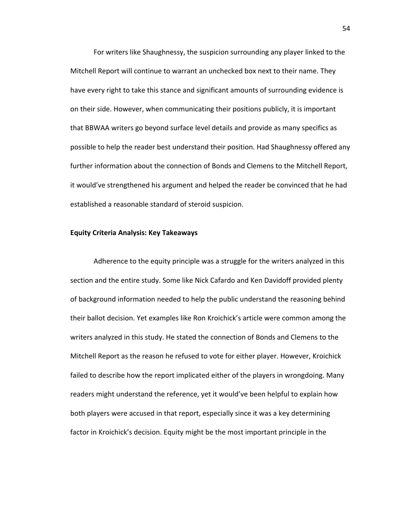For writers like Shaughnessy, the suspicion surrounding any player linked to the Mitchell Report will continue to warrant an unchecked box next to their name. They have every right to take this stance and significant amounts of surrounding evidence is on their side. However, when communicating their positions publicly, it is important that BBWAA writers go beyond surface level details and provide as many specifics as possible to help the reader best understand their position. Had Shaughnessy offered any further information about the connection of Bonds and Clemens to the Mitchell Report, it would've strengthened his argument and helped the reader be convinced that he had established a reasonable standard of steroid suspicion.

### **Equity Criteria Analysis: Key Takeaways**

Adherence to the equity principle was a struggle for the writers analyzed in this section and the entire study. Some like Nick Cafardo and Ken Davidoff provided plenty of background information needed to help the public understand the reasoning behind their ballot decision. Yet examples like Ron Kroichick's article were common among the writers analyzed in this study. He stated the connection of Bonds and Clemens to the Mitchell Report as the reason he refused to vote for either player. However, Kroichick failed to describe how the report implicated either of the players in wrongdoing. Many readers might understand the reference, yet it would've been helpful to explain how both players were accused in that report, especially since it was a key determining factor in Kroichick's decision. Equity might be the most important principle in the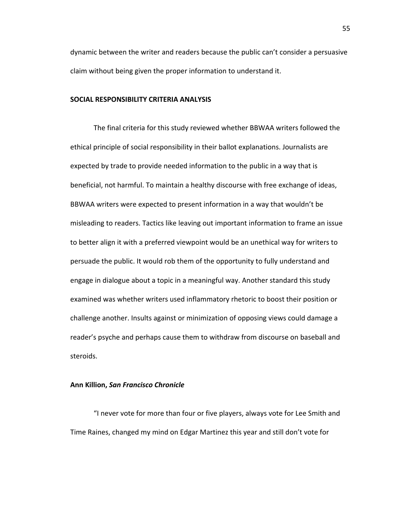dynamic between the writer and readers because the public can't consider a persuasive claim without being given the proper information to understand it.

## **SOCIAL RESPONSIBILITY CRITERIA ANALYSIS**

The final criteria for this study reviewed whether BBWAA writers followed the ethical principle of social responsibility in their ballot explanations. Journalists are expected by trade to provide needed information to the public in a way that is beneficial, not harmful. To maintain a healthy discourse with free exchange of ideas, BBWAA writers were expected to present information in a way that wouldn't be misleading to readers. Tactics like leaving out important information to frame an issue to better align it with a preferred viewpoint would be an unethical way for writers to persuade the public. It would rob them of the opportunity to fully understand and engage in dialogue about a topic in a meaningful way. Another standard this study examined was whether writers used inflammatory rhetoric to boost their position or challenge another. Insults against or minimization of opposing views could damage a reader's psyche and perhaps cause them to withdraw from discourse on baseball and steroids. 

### **Ann Killion,** *San Francisco Chronicle*

"I never vote for more than four or five players, always vote for Lee Smith and Time Raines, changed my mind on Edgar Martinez this year and still don't vote for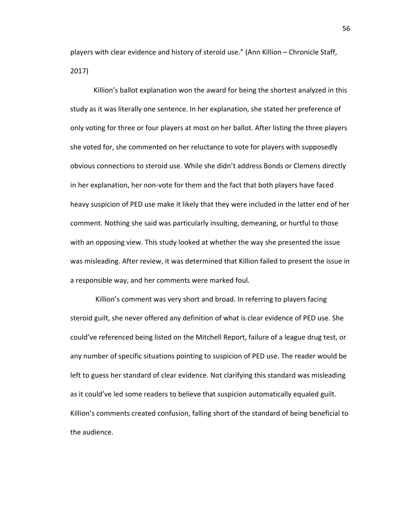players with clear evidence and history of steroid use." (Ann Killion – Chronicle Staff, 2017)

Killion's ballot explanation won the award for being the shortest analyzed in this study as it was literally one sentence. In her explanation, she stated her preference of only voting for three or four players at most on her ballot. After listing the three players she voted for, she commented on her reluctance to vote for players with supposedly obvious connections to steroid use. While she didn't address Bonds or Clemens directly in her explanation, her non-vote for them and the fact that both players have faced heavy suspicion of PED use make it likely that they were included in the latter end of her comment. Nothing she said was particularly insulting, demeaning, or hurtful to those with an opposing view. This study looked at whether the way she presented the issue was misleading. After review, it was determined that Killion failed to present the issue in a responsible way, and her comments were marked foul.

Killion's comment was very short and broad. In referring to players facing steroid guilt, she never offered any definition of what is clear evidence of PED use. She could've referenced being listed on the Mitchell Report, failure of a league drug test, or any number of specific situations pointing to suspicion of PED use. The reader would be left to guess her standard of clear evidence. Not clarifying this standard was misleading as it could've led some readers to believe that suspicion automatically equaled guilt. Killion's comments created confusion, falling short of the standard of being beneficial to the audience.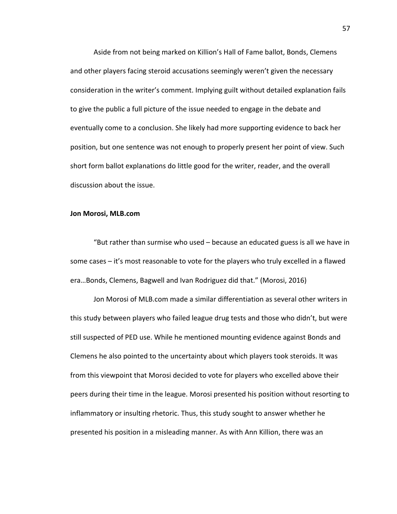Aside from not being marked on Killion's Hall of Fame ballot, Bonds, Clemens and other players facing steroid accusations seemingly weren't given the necessary consideration in the writer's comment. Implying guilt without detailed explanation fails to give the public a full picture of the issue needed to engage in the debate and eventually come to a conclusion. She likely had more supporting evidence to back her position, but one sentence was not enough to properly present her point of view. Such short form ballot explanations do little good for the writer, reader, and the overall discussion about the issue.

### **Jon Morosi, MLB.com**

"But rather than surmise who used  $-$  because an educated guess is all we have in some cases  $-$  it's most reasonable to vote for the players who truly excelled in a flawed era...Bonds, Clemens, Bagwell and Ivan Rodriguez did that." (Morosi, 2016)

Jon Morosi of MLB.com made a similar differentiation as several other writers in this study between players who failed league drug tests and those who didn't, but were still suspected of PED use. While he mentioned mounting evidence against Bonds and Clemens he also pointed to the uncertainty about which players took steroids. It was from this viewpoint that Morosi decided to vote for players who excelled above their peers during their time in the league. Morosi presented his position without resorting to inflammatory or insulting rhetoric. Thus, this study sought to answer whether he presented his position in a misleading manner. As with Ann Killion, there was an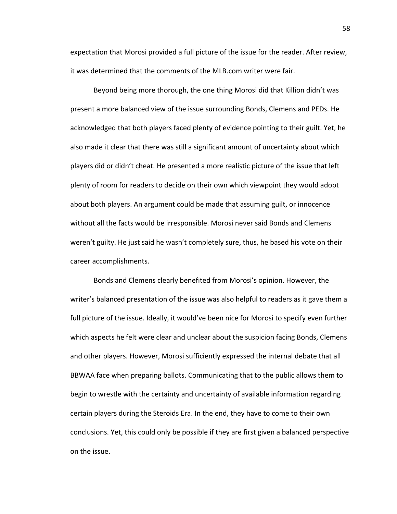expectation that Morosi provided a full picture of the issue for the reader. After review, it was determined that the comments of the MLB.com writer were fair.

Beyond being more thorough, the one thing Morosi did that Killion didn't was present a more balanced view of the issue surrounding Bonds, Clemens and PEDs. He acknowledged that both players faced plenty of evidence pointing to their guilt. Yet, he also made it clear that there was still a significant amount of uncertainty about which players did or didn't cheat. He presented a more realistic picture of the issue that left plenty of room for readers to decide on their own which viewpoint they would adopt about both players. An argument could be made that assuming guilt, or innocence without all the facts would be irresponsible. Morosi never said Bonds and Clemens weren't guilty. He just said he wasn't completely sure, thus, he based his vote on their career accomplishments.

Bonds and Clemens clearly benefited from Morosi's opinion. However, the writer's balanced presentation of the issue was also helpful to readers as it gave them a full picture of the issue. Ideally, it would've been nice for Morosi to specify even further which aspects he felt were clear and unclear about the suspicion facing Bonds, Clemens and other players. However, Morosi sufficiently expressed the internal debate that all BBWAA face when preparing ballots. Communicating that to the public allows them to begin to wrestle with the certainty and uncertainty of available information regarding certain players during the Steroids Era. In the end, they have to come to their own conclusions. Yet, this could only be possible if they are first given a balanced perspective on the issue.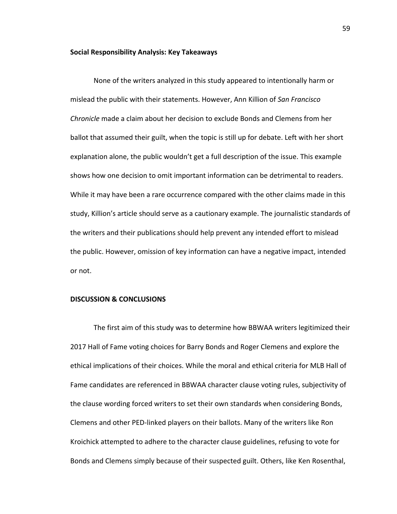#### **Social Responsibility Analysis: Key Takeaways**

None of the writers analyzed in this study appeared to intentionally harm or mislead the public with their statements. However, Ann Killion of *San Francisco Chronicle* made a claim about her decision to exclude Bonds and Clemens from her ballot that assumed their guilt, when the topic is still up for debate. Left with her short explanation alone, the public wouldn't get a full description of the issue. This example shows how one decision to omit important information can be detrimental to readers. While it may have been a rare occurrence compared with the other claims made in this study, Killion's article should serve as a cautionary example. The journalistic standards of the writers and their publications should help prevent any intended effort to mislead the public. However, omission of key information can have a negative impact, intended or not.

# **DISCUSSION & CONCLUSIONS**

The first aim of this study was to determine how BBWAA writers legitimized their 2017 Hall of Fame voting choices for Barry Bonds and Roger Clemens and explore the ethical implications of their choices. While the moral and ethical criteria for MLB Hall of Fame candidates are referenced in BBWAA character clause voting rules, subjectivity of the clause wording forced writers to set their own standards when considering Bonds, Clemens and other PED-linked players on their ballots. Many of the writers like Ron Kroichick attempted to adhere to the character clause guidelines, refusing to vote for Bonds and Clemens simply because of their suspected guilt. Others, like Ken Rosenthal,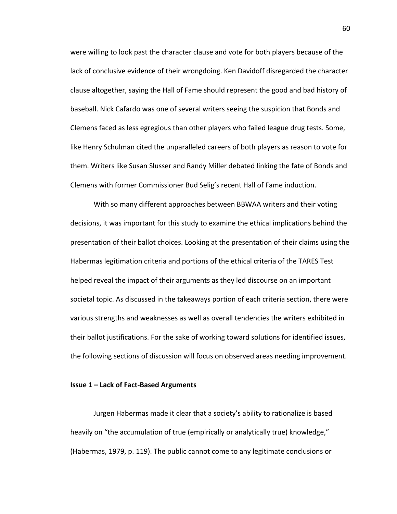were willing to look past the character clause and vote for both players because of the lack of conclusive evidence of their wrongdoing. Ken Davidoff disregarded the character clause altogether, saying the Hall of Fame should represent the good and bad history of baseball. Nick Cafardo was one of several writers seeing the suspicion that Bonds and Clemens faced as less egregious than other players who failed league drug tests. Some, like Henry Schulman cited the unparalleled careers of both players as reason to vote for them. Writers like Susan Slusser and Randy Miller debated linking the fate of Bonds and Clemens with former Commissioner Bud Selig's recent Hall of Fame induction.

With so many different approaches between BBWAA writers and their voting decisions, it was important for this study to examine the ethical implications behind the presentation of their ballot choices. Looking at the presentation of their claims using the Habermas legitimation criteria and portions of the ethical criteria of the TARES Test helped reveal the impact of their arguments as they led discourse on an important societal topic. As discussed in the takeaways portion of each criteria section, there were various strengths and weaknesses as well as overall tendencies the writers exhibited in their ballot justifications. For the sake of working toward solutions for identified issues, the following sections of discussion will focus on observed areas needing improvement.

# **Issue 1 - Lack of Fact-Based Arguments**

Jurgen Habermas made it clear that a society's ability to rationalize is based heavily on "the accumulation of true (empirically or analytically true) knowledge," (Habermas, 1979, p. 119). The public cannot come to any legitimate conclusions or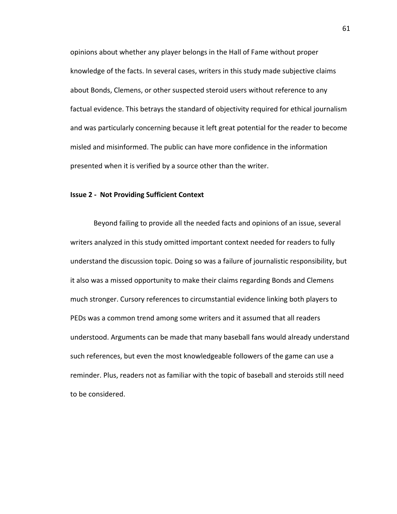opinions about whether any player belongs in the Hall of Fame without proper knowledge of the facts. In several cases, writers in this study made subjective claims about Bonds, Clemens, or other suspected steroid users without reference to any factual evidence. This betrays the standard of objectivity required for ethical journalism and was particularly concerning because it left great potential for the reader to become misled and misinformed. The public can have more confidence in the information presented when it is verified by a source other than the writer.

# **Issue 2 - Not Providing Sufficient Context**

Beyond failing to provide all the needed facts and opinions of an issue, several writers analyzed in this study omitted important context needed for readers to fully understand the discussion topic. Doing so was a failure of journalistic responsibility, but it also was a missed opportunity to make their claims regarding Bonds and Clemens much stronger. Cursory references to circumstantial evidence linking both players to PEDs was a common trend among some writers and it assumed that all readers understood. Arguments can be made that many baseball fans would already understand such references, but even the most knowledgeable followers of the game can use a reminder. Plus, readers not as familiar with the topic of baseball and steroids still need to be considered.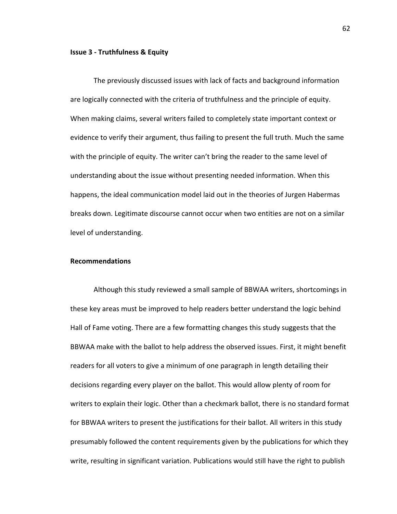### **Issue 3 - Truthfulness & Equity**

The previously discussed issues with lack of facts and background information are logically connected with the criteria of truthfulness and the principle of equity. When making claims, several writers failed to completely state important context or evidence to verify their argument, thus failing to present the full truth. Much the same with the principle of equity. The writer can't bring the reader to the same level of understanding about the issue without presenting needed information. When this happens, the ideal communication model laid out in the theories of Jurgen Habermas breaks down. Legitimate discourse cannot occur when two entities are not on a similar level of understanding.

# **Recommendations**

Although this study reviewed a small sample of BBWAA writers, shortcomings in these key areas must be improved to help readers better understand the logic behind Hall of Fame voting. There are a few formatting changes this study suggests that the BBWAA make with the ballot to help address the observed issues. First, it might benefit readers for all voters to give a minimum of one paragraph in length detailing their decisions regarding every player on the ballot. This would allow plenty of room for writers to explain their logic. Other than a checkmark ballot, there is no standard format for BBWAA writers to present the justifications for their ballot. All writers in this study presumably followed the content requirements given by the publications for which they write, resulting in significant variation. Publications would still have the right to publish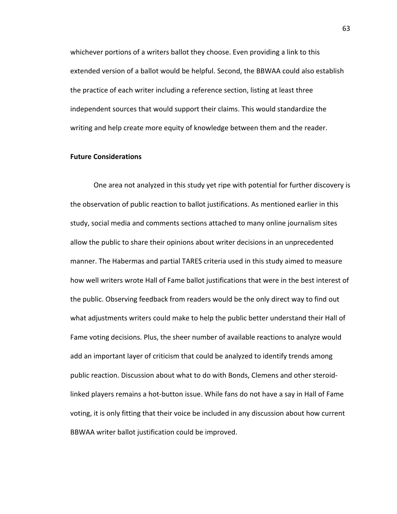whichever portions of a writers ballot they choose. Even providing a link to this extended version of a ballot would be helpful. Second, the BBWAA could also establish the practice of each writer including a reference section, listing at least three independent sources that would support their claims. This would standardize the writing and help create more equity of knowledge between them and the reader.

# **Future Considerations**

One area not analyzed in this study yet ripe with potential for further discovery is the observation of public reaction to ballot justifications. As mentioned earlier in this study, social media and comments sections attached to many online journalism sites allow the public to share their opinions about writer decisions in an unprecedented manner. The Habermas and partial TARES criteria used in this study aimed to measure how well writers wrote Hall of Fame ballot justifications that were in the best interest of the public. Observing feedback from readers would be the only direct way to find out what adjustments writers could make to help the public better understand their Hall of Fame voting decisions. Plus, the sheer number of available reactions to analyze would add an important layer of criticism that could be analyzed to identify trends among public reaction. Discussion about what to do with Bonds, Clemens and other steroidlinked players remains a hot-button issue. While fans do not have a say in Hall of Fame voting, it is only fitting that their voice be included in any discussion about how current BBWAA writer ballot justification could be improved.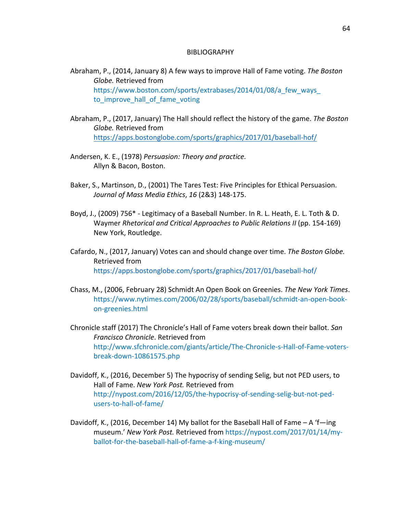### BIBLIOGRAPHY

- Abraham, P., (2014, January 8) A few ways to improve Hall of Fame voting. The Boston *Globe.* Retrieved from https://www.boston.com/sports/extrabases/2014/01/08/a\_few\_ways to\_improve\_hall\_of\_fame\_voting
- Abraham, P., (2017, January) The Hall should reflect the history of the game. The Boston Globe. Retrieved from https://apps.bostonglobe.com/sports/graphics/2017/01/baseball-hof/
- Andersen, K. E., (1978) Persuasion: Theory and practice. Allyn & Bacon, Boston.
- Baker, S., Martinson, D., (2001) The Tares Test: Five Principles for Ethical Persuasion. *Journal of Mass Media Ethics*, *16* (2&3) 148-175.
- Boyd, J., (2009) 756\* Legitimacy of a Baseball Number. In R. L. Heath, E. L. Toth & D. Waymer *Rhetorical and Critical Approaches to Public Relations II* (pp. 154-169) New York, Routledge.
- Cafardo, N., (2017, January) Votes can and should change over time. The Boston Globe. Retrieved from https://apps.bostonglobe.com/sports/graphics/2017/01/baseball-hof/
- Chass, M., (2006, February 28) Schmidt An Open Book on Greenies. *The New York Times.* https://www.nytimes.com/2006/02/28/sports/baseball/schmidt-an-open-bookon-greenies.html
- Chronicle staff (2017) The Chronicle's Hall of Fame voters break down their ballot. *San Francisco Chronicle*. Retrieved from http://www.sfchronicle.com/giants/article/The-Chronicle-s-Hall-of-Fame-votersbreak-down-10861575.php
- Davidoff, K., (2016, December 5) The hypocrisy of sending Selig, but not PED users, to Hall of Fame. *New York Post*. Retrieved from http://nypost.com/2016/12/05/the-hypocrisy-of-sending-selig-but-not-pedusers-to-hall-of-fame/
- Davidoff, K., (2016, December 14) My ballot for the Baseball Hall of Fame  $A$  'f—ing museum.' New York Post. Retrieved from https://nypost.com/2017/01/14/myballot-for-the-baseball-hall-of-fame-a-f-king-museum/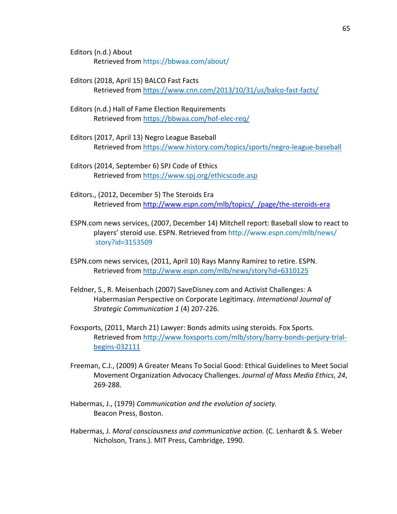Editors (n.d.) About Retrieved from https://bbwaa.com/about/

- Editors (2018, April 15) BALCO Fast Facts Retrieved from https://www.cnn.com/2013/10/31/us/balco-fast-facts/
- Editors (n.d.) Hall of Fame Election Requirements Retrieved from https://bbwaa.com/hof-elec-req/
- Editors (2017, April 13) Negro League Baseball Retrieved from https://www.history.com/topics/sports/negro-league-baseball
- Editors (2014, September 6) SPJ Code of Ethics Retrieved from https://www.spj.org/ethicscode.asp
- Editors., (2012, December 5) The Steroids Era Retrieved from http://www.espn.com/mlb/topics/ /page/the-steroids-era
- ESPN.com news services, (2007, December 14) Mitchell report: Baseball slow to react to players' steroid use. ESPN. Retrieved from http://www.espn.com/mlb/news/ story?id=3153509
- ESPN.com news services, (2011, April 10) Rays Manny Ramirez to retire. ESPN. Retrieved from http://www.espn.com/mlb/news/story?id=6310125
- Feldner, S., R. Meisenbach (2007) SaveDisney.com and Activist Challenges: A Habermasian Perspective on Corporate Legitimacy. International Journal of *Strategic Communication 1* (4) 207-226.
- Foxsports, (2011, March 21) Lawyer: Bonds admits using steroids. Fox Sports. Retrieved from http://www.foxsports.com/mlb/story/barry-bonds-perjury-trialbegins-032111
- Freeman, C.J., (2009) A Greater Means To Social Good: Ethical Guidelines to Meet Social Movement Organization Advocacy Challenges. *Journal of Mass Media Ethics*, *24*, 269-288.
- Habermas, J., (1979) *Communication and the evolution of society*. Beacon Press, Boston.
- Habermas, J. Moral consciousness and communicative action. (C. Lenhardt & S. Weber Nicholson, Trans.). MIT Press, Cambridge, 1990.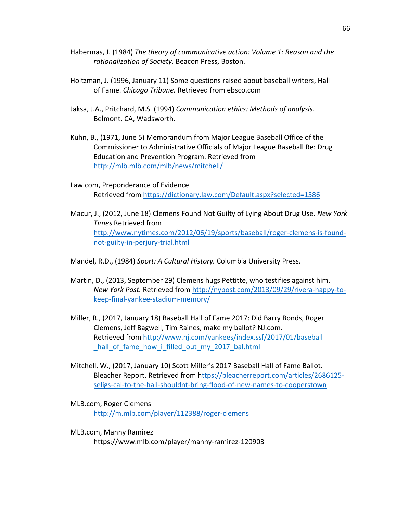- Habermas, J. (1984) *The theory of communicative action: Volume 1: Reason and the* rationalization of Society. Beacon Press, Boston.
- Holtzman, J. (1996, January 11) Some questions raised about baseball writers, Hall of Fame. *Chicago Tribune*. Retrieved from ebsco.com
- Jaksa, J.A., Pritchard, M.S. (1994) *Communication ethics: Methods of analysis.* Belmont, CA, Wadsworth.
- Kuhn, B., (1971, June 5) Memorandum from Major League Baseball Office of the Commissioner to Administrative Officials of Major League Baseball Re: Drug Education and Prevention Program. Retrieved from http://mlb.mlb.com/mlb/news/mitchell/
- Law.com, Preponderance of Evidence Retrieved from https://dictionary.law.com/Default.aspx?selected=1586
- Macur, J., (2012, June 18) Clemens Found Not Guilty of Lying About Drug Use. *New York Times* Retrieved from http://www.nytimes.com/2012/06/19/sports/baseball/roger-clemens-is-foundnot-guilty-in-perjury-trial.html
- Mandel, R.D., (1984) *Sport: A Cultural History.* Columbia University Press.
- Martin, D., (2013, September 29) Clemens hugs Pettitte, who testifies against him. *New York Post.* Retrieved from http://nypost.com/2013/09/29/rivera-happy-tokeep-final-yankee-stadium-memory/
- Miller, R., (2017, January 18) Baseball Hall of Fame 2017: Did Barry Bonds, Roger Clemens, Jeff Bagwell, Tim Raines, make my ballot? NJ.com. Retrieved from http://www.nj.com/yankees/index.ssf/2017/01/baseball hall of fame how i filled out my 2017 bal.html
- Mitchell, W., (2017, January 10) Scott Miller's 2017 Baseball Hall of Fame Ballot. Bleacher Report. Retrieved from https://bleacherreport.com/articles/2686125seligs-cal-to-the-hall-shouldnt-bring-flood-of-new-names-to-cooperstown
- MLB.com, Roger Clemens http://m.mlb.com/player/112388/roger-clemens
- MLB.com, Manny Ramirez https://www.mlb.com/player/manny-ramirez-120903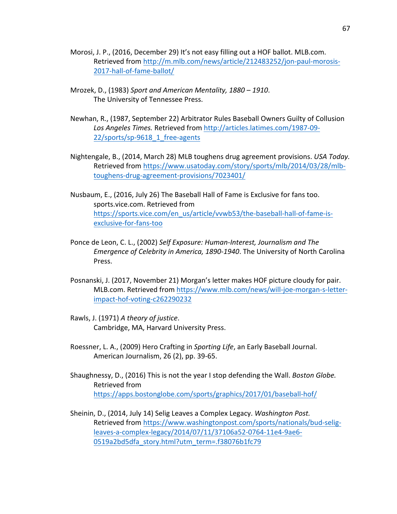- Morosi, J. P., (2016, December 29) It's not easy filling out a HOF ballot. MLB.com. Retrieved from http://m.mlb.com/news/article/212483252/jon-paul-morosis-2017-hall-of-fame-ballot/
- Mrozek, D., (1983) Sport and American Mentality, 1880 1910. The University of Tennessee Press.
- Newhan, R., (1987, September 22) Arbitrator Rules Baseball Owners Guilty of Collusion *Los Angeles Times.* Retrieved from http://articles.latimes.com/1987-09- 22/sports/sp-9618\_1\_free-agents
- Nightengale, B., (2014, March 28) MLB toughens drug agreement provisions. *USA Today.* Retrieved from https://www.usatoday.com/story/sports/mlb/2014/03/28/mlbtoughens-drug-agreement-provisions/7023401/
- Nusbaum, E., (2016, July 26) The Baseball Hall of Fame is Exclusive for fans too. sports.vice.com. Retrieved from https://sports.vice.com/en\_us/article/vvwb53/the-baseball-hall-of-fame-isexclusive-for-fans-too
- Ponce de Leon, C. L., (2002) Self Exposure: Human-Interest, Journalism and The *Emergence of Celebrity in America, 1890-1940*. The University of North Carolina Press.
- Posnanski, J. (2017, November 21) Morgan's letter makes HOF picture cloudy for pair. MLB.com. Retrieved from https://www.mlb.com/news/will-joe-morgan-s-letterimpact-hof-voting-c262290232
- Rawls, J. (1971) A theory of justice. Cambridge, MA, Harvard University Press.
- Roessner, L. A., (2009) Hero Crafting in *Sporting Life*, an Early Baseball Journal. American Journalism, 26 (2), pp. 39-65.
- Shaughnessy, D., (2016) This is not the year I stop defending the Wall. *Boston Globe.* Retrieved from https://apps.bostonglobe.com/sports/graphics/2017/01/baseball-hof/
- Sheinin, D., (2014, July 14) Selig Leaves a Complex Legacy. *Washington Post.* Retrieved from https://www.washingtonpost.com/sports/nationals/bud-seligleaves-a-complex-legacy/2014/07/11/37106a52-0764-11e4-9ae6- 0519a2bd5dfa\_story.html?utm\_term=.f38076b1fc79